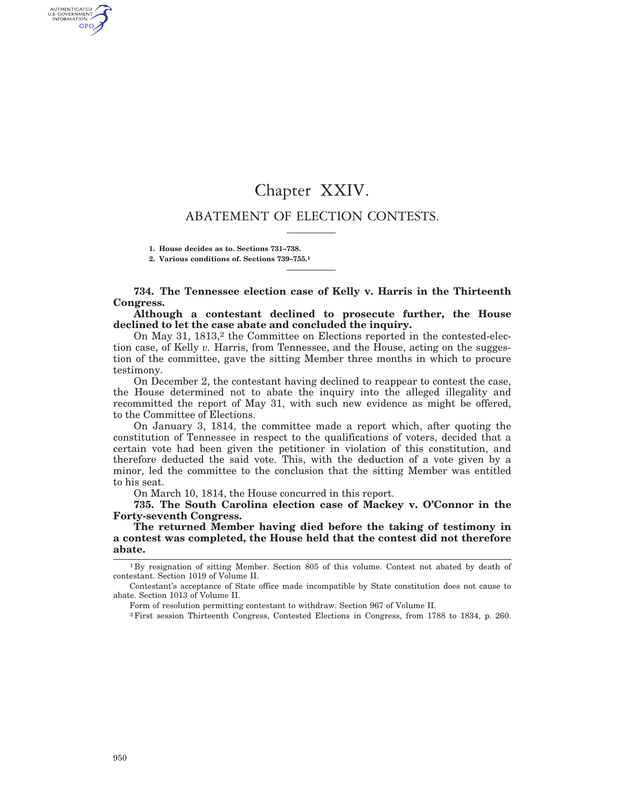# Chapter XXIV.

# ABATEMENT OF ELECTION CONTESTS.

**1. House decides as to. Sections 731–738.**

**2. Various conditions of. Sections 739–755.1**

**734. The Tennessee election case of Kelly v. Harris in the Thirteenth Congress.**

**Although a contestant declined to prosecute further, the House declined to let the case abate and concluded the inquiry.**

On May 31, 1813,<sup>2</sup> the Committee on Elections reported in the contested-election case, of Kelly *v.* Harris, from Tennessee, and the House, acting on the suggestion of the committee, gave the sitting Member three months in which to procure testimony.

On December 2, the contestant having declined to reappear to contest the case, the House determined not to abate the inquiry into the alleged illegality and recommitted the report of May 31, with such new evidence as might be offered, to the Committee of Elections.

On January 3, 1814, the committee made a report which, after quoting the constitution of Tennessee in respect to the qualifications of voters, decided that a certain vote had been given the petitioner in violation of this constitution, and therefore deducted the said vote. This, with the deduction of a vote given by a minor, led the committee to the conclusion that the sitting Member was entitled to his seat.

On March 10, 1814, the House concurred in this report.

**735. The South Carolina election case of Mackey v. O'Connor in the Forty-seventh Congress.**

**The returned Member having died before the taking of testimony in a contest was completed, the House held that the contest did not therefore abate.**

AUTHENTICATED<br>U.S. GOVERNMENT<br>INFORMATION GPO

<sup>1</sup> By resignation of sitting Member. Section 805 of this volume. Contest not abated by death of contestant. Section 1019 of Volume II.

Contestant's acceptance of State office made incompatible by State constitution does not cause to abate. Section 1013 of Volume II.

Form of resolution permitting contestant to withdraw. Section 967 of Volume II.

<sup>2</sup>First session Thirteenth Congress, Contested Elections in Congress, from 1788 to 1834, p. 260.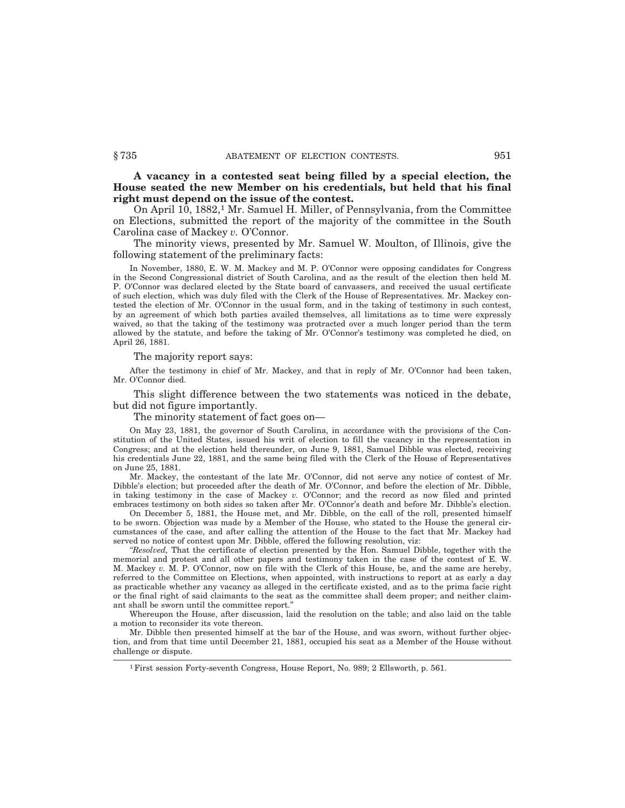**A vacancy in a contested seat being filled by a special election, the House seated the new Member on his credentials, but held that his final right must depend on the issue of the contest.**

On April 10, 1882,1 Mr. Samuel H. Miller, of Pennsylvania, from the Committee on Elections, submitted the report of the majority of the committee in the South Carolina case of Mackey *v.* O'Connor.

The minority views, presented by Mr. Samuel W. Moulton, of Illinois, give the following statement of the preliminary facts:

In November, 1880, E. W. M. Mackey and M. P. O'Connor were opposing candidates for Congress in the Second Congressional district of South Carolina, and as the result of the election then held M. P. O'Connor was declared elected by the State board of canvassers, and received the usual certificate of such election, which was duly filed with the Clerk of the House of Representatives. Mr. Mackey contested the election of Mr. O'Connor in the usual form, and in the taking of testimony in such contest, by an agreement of which both parties availed themselves, all limitations as to time were expressly waived, so that the taking of the testimony was protracted over a much longer period than the term allowed by the statute, and before the taking of Mr. O'Connor's testimony was completed he died, on April 26, 1881.

The majority report says:

After the testimony in chief of Mr. Mackey, and that in reply of Mr. O'Connor had been taken, Mr. O'Connor died.

This slight difference between the two statements was noticed in the debate, but did not figure importantly.

The minority statement of fact goes on—

On May 23, 1881, the governor of South Carolina, in accordance with the provisions of the Constitution of the United States, issued his writ of election to fill the vacancy in the representation in Congress; and at the election held thereunder, on June 9, 1881, Samuel Dibble was elected, receiving his credentials June 22, 1881, and the same being filed with the Clerk of the House of Representatives on June 25, 1881.

Mr. Mackey, the contestant of the late Mr. O'Connor, did not serve any notice of contest of Mr. Dibble's election; but proceeded after the death of Mr. O'Connor, and before the election of Mr. Dibble, in taking testimony in the case of Mackey *v.* O'Connor; and the record as now filed and printed embraces testimony on both sides so taken after Mr. O'Connor's death and before Mr. Dibble's election.

On December 5, 1881, the House met, and Mr. Dibble, on the call of the roll, presented himself to be sworn. Objection was made by a Member of the House, who stated to the House the general circumstances of the case, and after calling the attention of the House to the fact that Mr. Mackey had served no notice of contest upon Mr. Dibble, offered the following resolution, viz:

*''Resolved,* That the certificate of election presented by the Hon. Samuel Dibble, together with the memorial and protest and all other papers and testimony taken in the case of the contest of E. W. M. Mackey *v.* M. P. O'Connor, now on file with the Clerk of this House, be, and the same are hereby, referred to the Committee on Elections, when appointed, with instructions to report at as early a day as practicable whether any vacancy as alleged in the certificate existed, and as to the prima facie right or the final right of said claimants to the seat as the committee shall deem proper; and neither claimant shall be sworn until the committee report.''

Whereupon the House, after discussion, laid the resolution on the table; and also laid on the table a motion to reconsider its vote thereon.

Mr. Dibble then presented himself at the bar of the House, and was sworn, without further objection, and from that time until December 21, 1881, occupied his seat as a Member of the House without challenge or dispute.

<sup>1</sup>First session Forty-seventh Congress, House Report, No. 989; 2 Ellsworth, p. 561.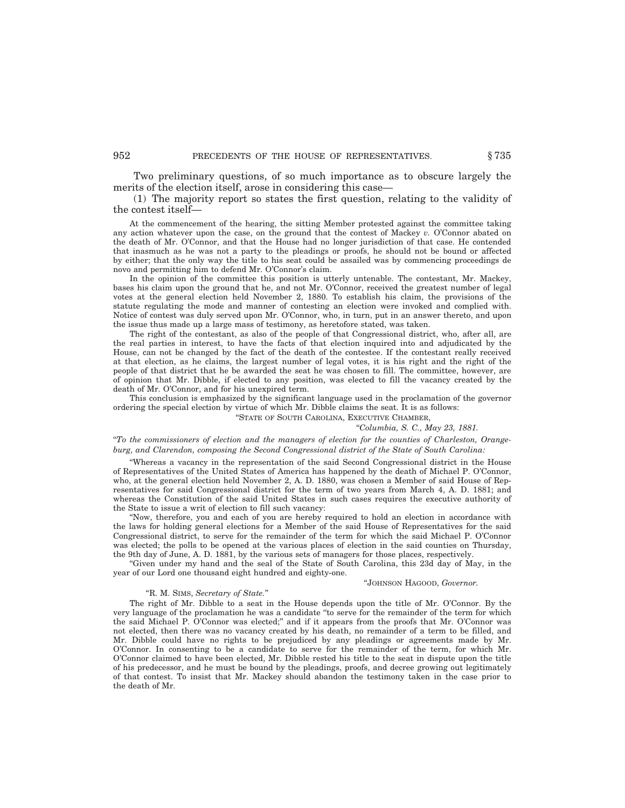Two preliminary questions, of so much importance as to obscure largely the merits of the election itself, arose in considering this case—

(1) The majority report so states the first question, relating to the validity of the contest itself—

At the commencement of the hearing, the sitting Member protested against the committee taking any action whatever upon the case, on the ground that the contest of Mackey *v.* O'Connor abated on the death of Mr. O'Connor, and that the House had no longer jurisdiction of that case. He contended that inasmuch as he was not a party to the pleadings or proofs, he should not be bound or affected by either; that the only way the title to his seat could be assailed was by commencing proceedings de novo and permitting him to defend Mr. O'Connor's claim.

In the opinion of the committee this position is utterly untenable. The contestant, Mr. Mackey, bases his claim upon the ground that he, and not Mr. O'Connor, received the greatest number of legal votes at the general election held November 2, 1880. To establish his claim, the provisions of the statute regulating the mode and manner of contesting an election were invoked and complied with. Notice of contest was duly served upon Mr. O'Connor, who, in turn, put in an answer thereto, and upon the issue thus made up a large mass of testimony, as heretofore stated, was taken.

The right of the contestant, as also of the people of that Congressional district, who, after all, are the real parties in interest, to have the facts of that election inquired into and adjudicated by the House, can not be changed by the fact of the death of the contestee. If the contestant really received at that election, as he claims, the largest number of legal votes, it is his right and the right of the people of that district that he be awarded the seat he was chosen to fill. The committee, however, are of opinion that Mr. Dibble, if elected to any position, was elected to fill the vacancy created by the death of Mr. O'Connor, and for his unexpired term.

This conclusion is emphasized by the significant language used in the proclamation of the governor ordering the special election by virtue of which Mr. Dibble claims the seat. It is as follows:

''STATE OF SOUTH CAROLINA, EXECUTIVE CHAMBER,

#### ''*Columbia, S. C., May 23, 1881.*

''*To the commissioners of election and the managers of election for the counties of Charleston, Orangeburg, and Clarendon, composing the Second Congressional district of the State of South Carolina:*

''Whereas a vacancy in the representation of the said Second Congressional district in the House of Representatives of the United States of America has happened by the death of Michael P. O'Connor, who, at the general election held November 2, A. D. 1880, was chosen a Member of said House of Representatives for said Congressional district for the term of two years from March 4, A. D. 1881; and whereas the Constitution of the said United States in such cases requires the executive authority of the State to issue a writ of election to fill such vacancy:

''Now, therefore, you and each of you are hereby required to hold an election in accordance with the laws for holding general elections for a Member of the said House of Representatives for the said Congressional district, to serve for the remainder of the term for which the said Michael P. O'Connor was elected; the polls to be opened at the various places of election in the said counties on Thursday, the 9th day of June, A. D. 1881, by the various sets of managers for those places, respectively.

''Given under my hand and the seal of the State of South Carolina, this 23d day of May, in the year of our Lord one thousand eight hundred and eighty-one.

#### ''JOHNSON HAGOOD, *Governor.*

#### ''R. M. SIMS, *Secretary of State.*''

The right of Mr. Dibble to a seat in the House depends upon the title of Mr. O'Connor. By the very language of the proclamation he was a candidate ''to serve for the remainder of the term for which the said Michael P. O'Connor was elected;'' and if it appears from the proofs that Mr. O'Connor was not elected, then there was no vacancy created by his death, no remainder of a term to be filled, and Mr. Dibble could have no rights to be prejudiced by any pleadings or agreements made by Mr. O'Connor. In consenting to be a candidate to serve for the remainder of the term, for which Mr. O'Connor claimed to have been elected, Mr. Dibble rested his title to the seat in dispute upon the title of his predecessor, and he must be bound by the pleadings, proofs, and decree growing out legitimately of that contest. To insist that Mr. Mackey should abandon the testimony taken in the case prior to the death of Mr.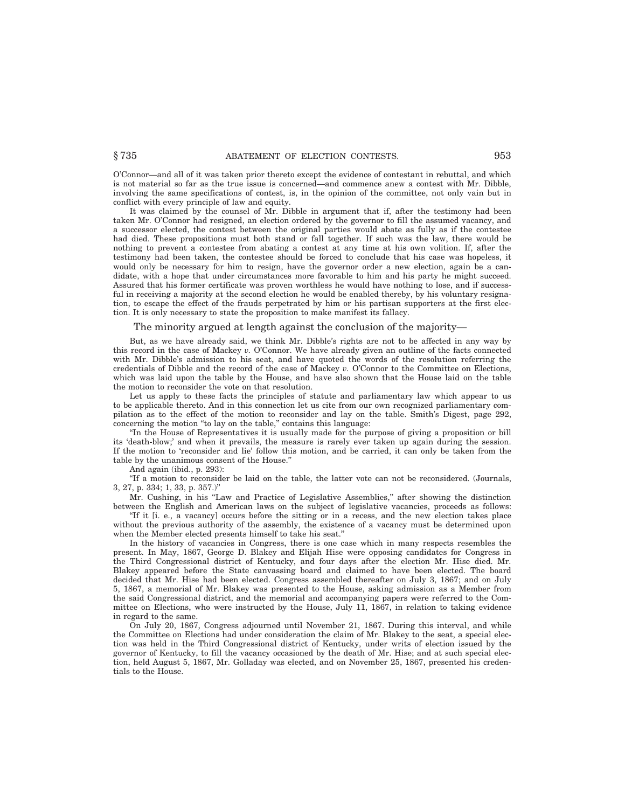O'Connor—and all of it was taken prior thereto except the evidence of contestant in rebuttal, and which is not material so far as the true issue is concerned—and commence anew a contest with Mr. Dibble, involving the same specifications of contest, is, in the opinion of the committee, not only vain but in conflict with every principle of law and equity.

It was claimed by the counsel of Mr. Dibble in argument that if, after the testimony had been taken Mr. O'Connor had resigned, an election ordered by the governor to fill the assumed vacancy, and a successor elected, the contest between the original parties would abate as fully as if the contestee had died. These propositions must both stand or fall together. If such was the law, there would be nothing to prevent a contestee from abating a contest at any time at his own volition. If, after the testimony had been taken, the contestee should be forced to conclude that his case was hopeless, it would only be necessary for him to resign, have the governor order a new election, again be a candidate, with a hope that under circumstances more favorable to him and his party he might succeed. Assured that his former certificate was proven worthless he would have nothing to lose, and if successful in receiving a majority at the second election he would be enabled thereby, by his voluntary resignation, to escape the effect of the frauds perpetrated by him or his partisan supporters at the first election. It is only necessary to state the proposition to make manifest its fallacy.

#### The minority argued at length against the conclusion of the majority—

But, as we have already said, we think Mr. Dibble's rights are not to be affected in any way by this record in the case of Mackey *v.* O'Connor. We have already given an outline of the facts connected with Mr. Dibble's admission to his seat, and have quoted the words of the resolution referring the credentials of Dibble and the record of the case of Mackey *v.* O'Connor to the Committee on Elections, which was laid upon the table by the House, and have also shown that the House laid on the table the motion to reconsider the vote on that resolution.

Let us apply to these facts the principles of statute and parliamentary law which appear to us to be applicable thereto. And in this connection let us cite from our own recognized parliamentary compilation as to the effect of the motion to reconsider and lay on the table. Smith's Digest, page 292, concerning the motion ''to lay on the table,'' contains this language:

''In the House of Representatives it is usually made for the purpose of giving a proposition or bill its 'death-blow;' and when it prevails, the measure is rarely ever taken up again during the session. If the motion to 'reconsider and lie' follow this motion, and be carried, it can only be taken from the table by the unanimous consent of the House.''

And again (ibid., p. 293):

''If a motion to reconsider be laid on the table, the latter vote can not be reconsidered. (Journals, 3, 27, p. 334; 1, 33, p. 357.)''

Mr. Cushing, in his "Law and Practice of Legislative Assemblies," after showing the distinction between the English and American laws on the subject of legislative vacancies, proceeds as follows:

''If it [i. e., a vacancy] occurs before the sitting or in a recess, and the new election takes place without the previous authority of the assembly, the existence of a vacancy must be determined upon when the Member elected presents himself to take his seat.''

In the history of vacancies in Congress, there is one case which in many respects resembles the present. In May, 1867, George D. Blakey and Elijah Hise were opposing candidates for Congress in the Third Congressional district of Kentucky, and four days after the election Mr. Hise died. Mr. Blakey appeared before the State canvassing board and claimed to have been elected. The board decided that Mr. Hise had been elected. Congress assembled thereafter on July 3, 1867; and on July 5, 1867, a memorial of Mr. Blakey was presented to the House, asking admission as a Member from the said Congressional district, and the memorial and accompanying papers were referred to the Committee on Elections, who were instructed by the House, July 11, 1867, in relation to taking evidence in regard to the same.

On July 20, 1867, Congress adjourned until November 21, 1867. During this interval, and while the Committee on Elections had under consideration the claim of Mr. Blakey to the seat, a special election was held in the Third Congressional district of Kentucky, under writs of election issued by the governor of Kentucky, to fill the vacancy occasioned by the death of Mr. Hise; and at such special election, held August 5, 1867, Mr. Golladay was elected, and on November 25, 1867, presented his credentials to the House.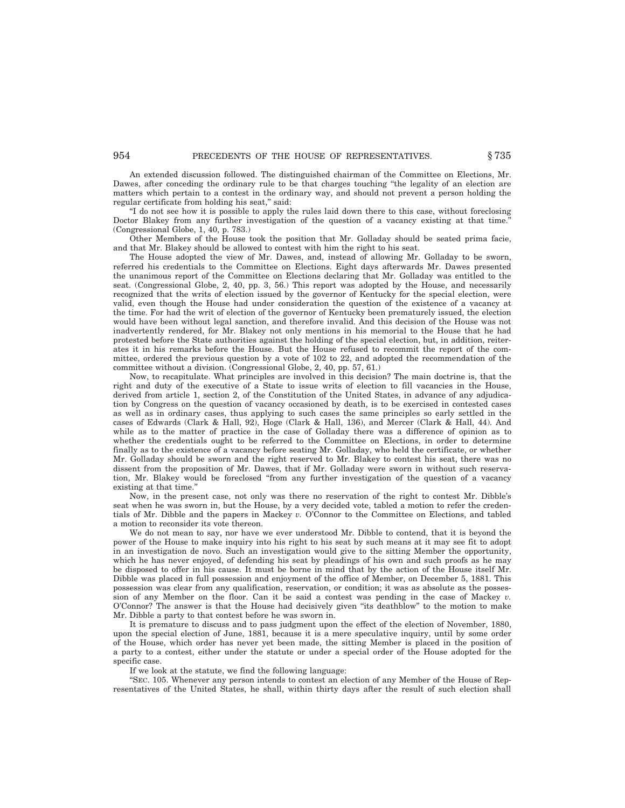An extended discussion followed. The distinguished chairman of the Committee on Elections, Mr. Dawes, after conceding the ordinary rule to be that charges touching ''the legality of an election are matters which pertain to a contest in the ordinary way, and should not prevent a person holding the regular certificate from holding his seat," said:

''I do not see how it is possible to apply the rules laid down there to this case, without foreclosing Doctor Blakey from any further investigation of the question of a vacancy existing at that time. (Congressional Globe, 1, 40, p. 783.)

Other Members of the House took the position that Mr. Golladay should be seated prima facie, and that Mr. Blakey should be allowed to contest with him the right to his seat.

The House adopted the view of Mr. Dawes, and, instead of allowing Mr. Golladay to be sworn, referred his credentials to the Committee on Elections. Eight days afterwards Mr. Dawes presented the unanimous report of the Committee on Elections declaring that Mr. Golladay was entitled to the seat. (Congressional Globe, 2, 40, pp. 3, 56.) This report was adopted by the House, and necessarily recognized that the writs of election issued by the governor of Kentucky for the special election, were valid, even though the House had under consideration the question of the existence of a vacancy at the time. For had the writ of election of the governor of Kentucky been prematurely issued, the election would have been without legal sanction, and therefore invalid. And this decision of the House was not inadvertently rendered, for Mr. Blakey not only mentions in his memorial to the House that he had protested before the State authorities against the holding of the special election, but, in addition, reiterates it in his remarks before the House. But the House refused to recommit the report of the committee, ordered the previous question by a vote of 102 to 22, and adopted the recommendation of the committee without a division. (Congressional Globe, 2, 40, pp. 57, 61.)

Now, to recapitulate. What principles are involved in this decision? The main doctrine is, that the right and duty of the executive of a State to issue writs of election to fill vacancies in the House, derived from article 1, section 2, of the Constitution of the United States, in advance of any adjudication by Congress on the question of vacancy occasioned by death, is to be exercised in contested cases as well as in ordinary cases, thus applying to such cases the same principles so early settled in the cases of Edwards (Clark & Hall, 92), Hoge (Clark & Hall, 136), and Mercer (Clark & Hall, 44). And while as to the matter of practice in the case of Golladay there was a difference of opinion as to whether the credentials ought to be referred to the Committee on Elections, in order to determine finally as to the existence of a vacancy before seating Mr. Golladay, who held the certificate, or whether Mr. Golladay should be sworn and the right reserved to Mr. Blakey to contest his seat, there was no dissent from the proposition of Mr. Dawes, that if Mr. Golladay were sworn in without such reservation, Mr. Blakey would be foreclosed ''from any further investigation of the question of a vacancy existing at that time.''

Now, in the present case, not only was there no reservation of the right to contest Mr. Dibble's seat when he was sworn in, but the House, by a very decided vote, tabled a motion to refer the credentials of Mr. Dibble and the papers in Mackey *v.* O'Connor to the Committee on Elections, and tabled a motion to reconsider its vote thereon.

We do not mean to say, nor have we ever understood Mr. Dibble to contend, that it is beyond the power of the House to make inquiry into his right to his seat by such means at it may see fit to adopt in an investigation de novo. Such an investigation would give to the sitting Member the opportunity, which he has never enjoyed, of defending his seat by pleadings of his own and such proofs as he may be disposed to offer in his cause. It must be borne in mind that by the action of the House itself Mr. Dibble was placed in full possession and enjoyment of the office of Member, on December 5, 1881. This possession was clear from any qualification, reservation, or condition; it was as absolute as the possession of any Member on the floor. Can it be said a contest was pending in the case of Mackey *v.* O'Connor? The answer is that the House had decisively given ''its deathblow'' to the motion to make Mr. Dibble a party to that contest before he was sworn in.

It is premature to discuss and to pass judgment upon the effect of the election of November, 1880, upon the special election of June, 1881, because it is a mere speculative inquiry, until by some order of the House, which order has never yet been made, the sitting Member is placed in the position of a party to a contest, either under the statute or under a special order of the House adopted for the specific case.

If we look at the statute, we find the following language:

''SEC. 105. Whenever any person intends to contest an election of any Member of the House of Representatives of the United States, he shall, within thirty days after the result of such election shall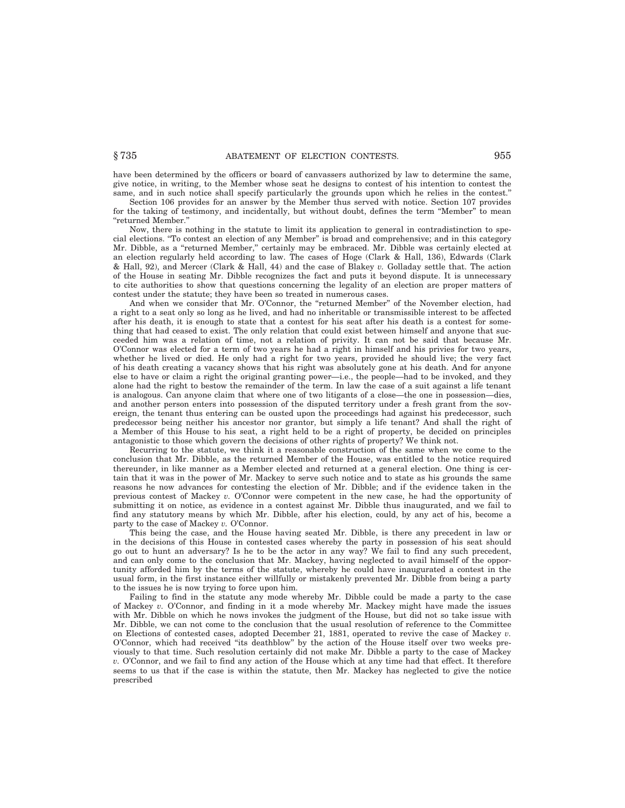have been determined by the officers or board of canvassers authorized by law to determine the same, give notice, in writing, to the Member whose seat he designs to contest of his intention to contest the same, and in such notice shall specify particularly the grounds upon which he relies in the contest.''

Section 106 provides for an answer by the Member thus served with notice. Section 107 provides for the taking of testimony, and incidentally, but without doubt, defines the term ''Member'' to mean ''returned Member.''

Now, there is nothing in the statute to limit its application to general in contradistinction to special elections. ''To contest an election of any Member'' is broad and comprehensive; and in this category Mr. Dibble, as a ''returned Member,'' certainly may be embraced. Mr. Dibble was certainly elected at an election regularly held according to law. The cases of Hoge (Clark & Hall, 136), Edwards (Clark & Hall, 92), and Mercer (Clark & Hall, 44) and the case of Blakey *v.* Golladay settle that. The action of the House in seating Mr. Dibble recognizes the fact and puts it beyond dispute. It is unnecessary to cite authorities to show that questions concerning the legality of an election are proper matters of contest under the statute; they have been so treated in numerous cases.

And when we consider that Mr. O'Connor, the "returned Member" of the November election, had a right to a seat only so long as he lived, and had no inheritable or transmissible interest to be affected after his death, it is enough to state that a contest for his seat after his death is a contest for something that had ceased to exist. The only relation that could exist between himself and anyone that succeeded him was a relation of time, not a relation of privity. It can not be said that because Mr. O'Connor was elected for a term of two years he had a right in himself and his privies for two years, whether he lived or died. He only had a right for two years, provided he should live; the very fact of his death creating a vacancy shows that his right was absolutely gone at his death. And for anyone else to have or claim a right the original granting power—i.e., the people—had to be invoked, and they alone had the right to bestow the remainder of the term. In law the case of a suit against a life tenant is analogous. Can anyone claim that where one of two litigants of a close—the one in possession—dies, and another person enters into possession of the disputed territory under a fresh grant from the sovereign, the tenant thus entering can be ousted upon the proceedings had against his predecessor, such predecessor being neither his ancestor nor grantor, but simply a life tenant? And shall the right of a Member of this House to his seat, a right held to be a right of property, be decided on principles antagonistic to those which govern the decisions of other rights of property? We think not.

Recurring to the statute, we think it a reasonable construction of the same when we come to the conclusion that Mr. Dibble, as the returned Member of the House, was entitled to the notice required thereunder, in like manner as a Member elected and returned at a general election. One thing is certain that it was in the power of Mr. Mackey to serve such notice and to state as his grounds the same reasons he now advances for contesting the election of Mr. Dibble; and if the evidence taken in the previous contest of Mackey *v.* O'Connor were competent in the new case, he had the opportunity of submitting it on notice, as evidence in a contest against Mr. Dibble thus inaugurated, and we fail to find any statutory means by which Mr. Dibble, after his election, could, by any act of his, become a party to the case of Mackey *v.* O'Connor.

This being the case, and the House having seated Mr. Dibble, is there any precedent in law or in the decisions of this House in contested cases whereby the party in possession of his seat should go out to hunt an adversary? Is he to be the actor in any way? We fail to find any such precedent, and can only come to the conclusion that Mr. Mackey, having neglected to avail himself of the opportunity afforded him by the terms of the statute, whereby he could have inaugurated a contest in the usual form, in the first instance either willfully or mistakenly prevented Mr. Dibble from being a party to the issues he is now trying to force upon him.

Failing to find in the statute any mode whereby Mr. Dibble could be made a party to the case of Mackey *v.* O'Connor, and finding in it a mode whereby Mr. Mackey might have made the issues with Mr. Dibble on which he nows invokes the judgment of the House, but did not so take issue with Mr. Dibble, we can not come to the conclusion that the usual resolution of reference to the Committee on Elections of contested cases, adopted December 21, 1881, operated to revive the case of Mackey *v.* O'Connor, which had received ''its deathblow'' by the action of the House itself over two weeks previously to that time. Such resolution certainly did not make Mr. Dibble a party to the case of Mackey *v.* O'Connor, and we fail to find any action of the House which at any time had that effect. It therefore seems to us that if the case is within the statute, then Mr. Mackey has neglected to give the notice prescribed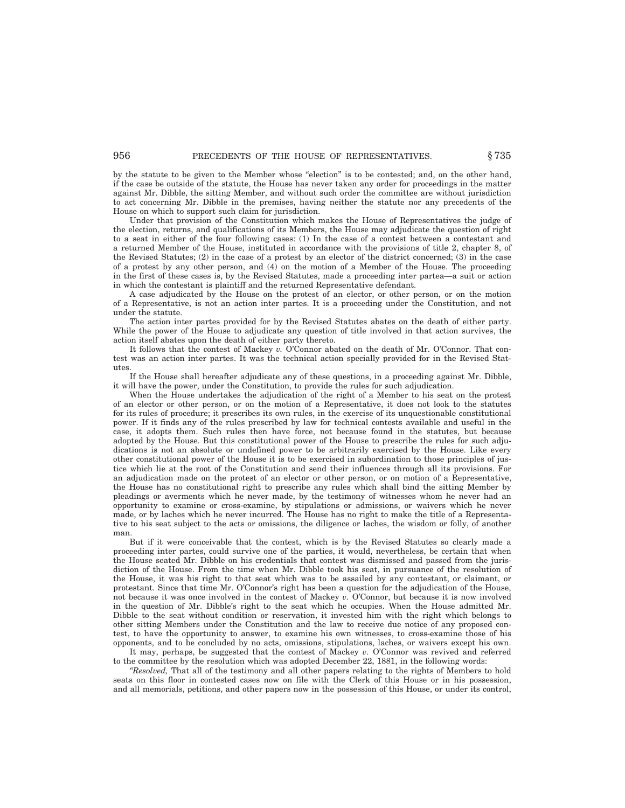by the statute to be given to the Member whose ''election'' is to be contested; and, on the other hand, if the case be outside of the statute, the House has never taken any order for proceedings in the matter against Mr. Dibble, the sitting Member, and without such order the committee are without jurisdiction to act concerning Mr. Dibble in the premises, having neither the statute nor any precedents of the House on which to support such claim for jurisdiction.

Under that provision of the Constitution which makes the House of Representatives the judge of the election, returns, and qualifications of its Members, the House may adjudicate the question of right to a seat in either of the four following cases: (1) In the case of a contest between a contestant and a returned Member of the House, instituted in accordance with the provisions of title 2, chapter 8, of the Revised Statutes; (2) in the case of a protest by an elector of the district concerned; (3) in the case of a protest by any other person, and (4) on the motion of a Member of the House. The proceeding in the first of these cases is, by the Revised Statutes, made a proceeding inter partea—a suit or action in which the contestant is plaintiff and the returned Representative defendant.

A case adjudicated by the House on the protest of an elector, or other person, or on the motion of a Representative, is not an action inter partes. It is a proceeding under the Constitution, and not under the statute.

The action inter partes provided for by the Revised Statutes abates on the death of either party. While the power of the House to adjudicate any question of title involved in that action survives, the action itself abates upon the death of either party thereto.

It follows that the contest of Mackey *v.* O'Connor abated on the death of Mr. O'Connor. That contest was an action inter partes. It was the technical action specially provided for in the Revised Statutes.

If the House shall hereafter adjudicate any of these questions, in a proceeding against Mr. Dibble, it will have the power, under the Constitution, to provide the rules for such adjudication.

When the House undertakes the adjudication of the right of a Member to his seat on the protest of an elector or other person, or on the motion of a Representative, it does not look to the statutes for its rules of procedure; it prescribes its own rules, in the exercise of its unquestionable constitutional power. If it finds any of the rules prescribed by law for technical contests available and useful in the case, it adopts them. Such rules then have force, not because found in the statutes, but because adopted by the House. But this constitutional power of the House to prescribe the rules for such adjudications is not an absolute or undefined power to be arbitrarily exercised by the House. Like every other constitutional power of the House it is to be exercised in subordination to those principles of justice which lie at the root of the Constitution and send their influences through all its provisions. For an adjudication made on the protest of an elector or other person, or on motion of a Representative, the House has no constitutional right to prescribe any rules which shall bind the sitting Member by pleadings or averments which he never made, by the testimony of witnesses whom he never had an opportunity to examine or cross-examine, by stipulations or admissions, or waivers which he never made, or by laches which he never incurred. The House has no right to make the title of a Representative to his seat subject to the acts or omissions, the diligence or laches, the wisdom or folly, of another man.

But if it were conceivable that the contest, which is by the Revised Statutes so clearly made a proceeding inter partes, could survive one of the parties, it would, nevertheless, be certain that when the House seated Mr. Dibble on his credentials that contest was dismissed and passed from the jurisdiction of the House. From the time when Mr. Dibble took his seat, in pursuance of the resolution of the House, it was his right to that seat which was to be assailed by any contestant, or claimant, or protestant. Since that time Mr. O'Connor's right has been a question for the adjudication of the House, not because it was once involved in the contest of Mackey *v.* O'Connor, but because it is now involved in the question of Mr. Dibble's right to the seat which he occupies. When the House admitted Mr. Dibble to the seat without condition or reservation, it invested him with the right which belongs to other sitting Members under the Constitution and the law to receive due notice of any proposed contest, to have the opportunity to answer, to examine his own witnesses, to cross-examine those of his opponents, and to be concluded by no acts, omissions, stipulations, laches, or waivers except his own.

It may, perhaps, be suggested that the contest of Mackey *v.* O'Connor was revived and referred to the committee by the resolution which was adopted December 22, 1881, in the following words:

*''Resolved,* That all of the testimony and all other papers relating to the rights of Members to hold seats on this floor in contested cases now on file with the Clerk of this House or in his possession, and all memorials, petitions, and other papers now in the possession of this House, or under its control,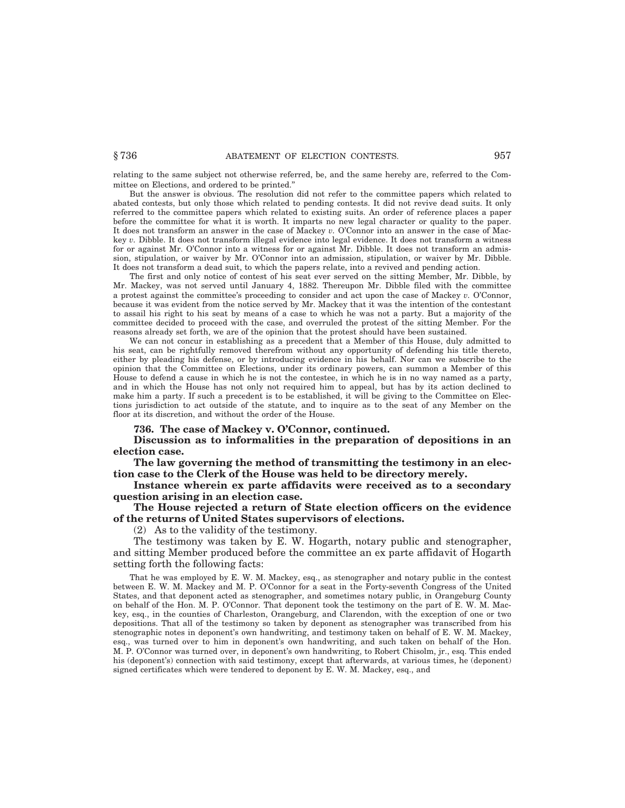relating to the same subject not otherwise referred, be, and the same hereby are, referred to the Committee on Elections, and ordered to be printed.''

But the answer is obvious. The resolution did not refer to the committee papers which related to abated contests, but only those which related to pending contests. It did not revive dead suits. It only referred to the committee papers which related to existing suits. An order of reference places a paper before the committee for what it is worth. It imparts no new legal character or quality to the paper. It does not transform an answer in the case of Mackey *v.* O'Connor into an answer in the case of Mackey *v.* Dibble. It does not transform illegal evidence into legal evidence. It does not transform a witness for or against Mr. O'Connor into a witness for or against Mr. Dibble. It does not transform an admission, stipulation, or waiver by Mr. O'Connor into an admission, stipulation, or waiver by Mr. Dibble. It does not transform a dead suit, to which the papers relate, into a revived and pending action.

The first and only notice of contest of his seat ever served on the sitting Member, Mr. Dibble, by Mr. Mackey, was not served until January 4, 1882. Thereupon Mr. Dibble filed with the committee a protest against the committee's proceeding to consider and act upon the case of Mackey *v.* O'Connor, because it was evident from the notice served by Mr. Mackey that it was the intention of the contestant to assail his right to his seat by means of a case to which he was not a party. But a majority of the committee decided to proceed with the case, and overruled the protest of the sitting Member. For the reasons already set forth, we are of the opinion that the protest should have been sustained.

We can not concur in establishing as a precedent that a Member of this House, duly admitted to his seat, can be rightfully removed therefrom without any opportunity of defending his title thereto, either by pleading his defense, or by introducing evidence in his behalf. Nor can we subscribe to the opinion that the Committee on Elections, under its ordinary powers, can summon a Member of this House to defend a cause in which he is not the contestee, in which he is in no way named as a party, and in which the House has not only not required him to appeal, but has by its action declined to make him a party. If such a precedent is to be established, it will be giving to the Committee on Elections jurisdiction to act outside of the statute, and to inquire as to the seat of any Member on the floor at its discretion, and without the order of the House.

**736. The case of Mackey v. O'Connor, continued.**

**Discussion as to informalities in the preparation of depositions in an election case.**

**The law governing the method of transmitting the testimony in an election case to the Clerk of the House was held to be directory merely.**

**Instance wherein ex parte affidavits were received as to a secondary question arising in an election case.**

## **The House rejected a return of State election officers on the evidence of the returns of United States supervisors of elections.**

(2) As to the validity of the testimony.

The testimony was taken by E. W. Hogarth, notary public and stenographer, and sitting Member produced before the committee an ex parte affidavit of Hogarth setting forth the following facts:

That he was employed by E. W. M. Mackey, esq., as stenographer and notary public in the contest between E. W. M. Mackey and M. P. O'Connor for a seat in the Forty-seventh Congress of the United States, and that deponent acted as stenographer, and sometimes notary public, in Orangeburg County on behalf of the Hon. M. P. O'Connor. That deponent took the testimony on the part of E. W. M. Mackey, esq., in the counties of Charleston, Orangeburg, and Clarendon, with the exception of one or two depositions. That all of the testimony so taken by deponent as stenographer was transcribed from his stenographic notes in deponent's own handwriting, and testimony taken on behalf of E. W. M. Mackey, esq., was turned over to him in deponent's own handwriting, and such taken on behalf of the Hon. M. P. O'Connor was turned over, in deponent's own handwriting, to Robert Chisolm, jr., esq. This ended his (deponent's) connection with said testimony, except that afterwards, at various times, he (deponent) signed certificates which were tendered to deponent by E. W. M. Mackey, esq., and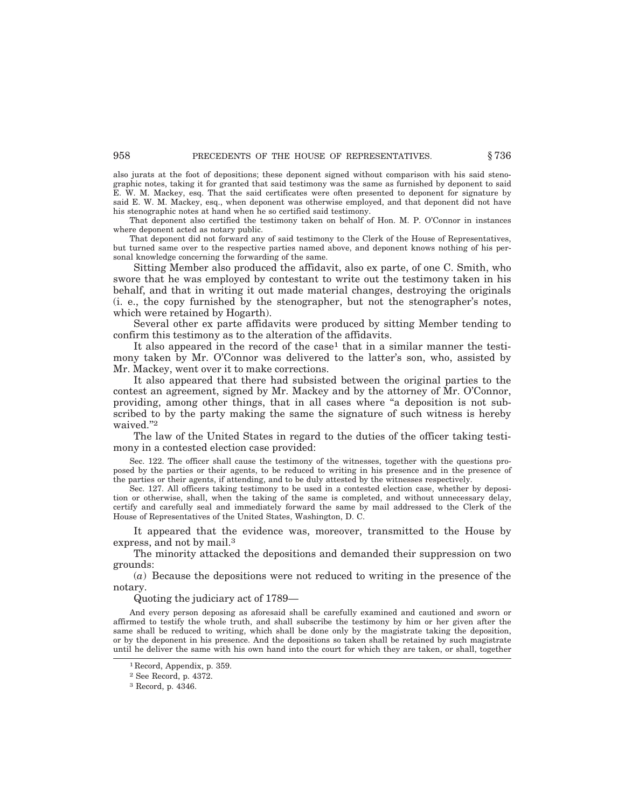also jurats at the foot of depositions; these deponent signed without comparison with his said stenographic notes, taking it for granted that said testimony was the same as furnished by deponent to said E. W. M. Mackey, esq. That the said certificates were often presented to deponent for signature by said E. W. M. Mackey, esq., when deponent was otherwise employed, and that deponent did not have his stenographic notes at hand when he so certified said testimony.

That deponent also certified the testimony taken on behalf of Hon. M. P. O'Connor in instances where deponent acted as notary public.

That deponent did not forward any of said testimony to the Clerk of the House of Representatives, but turned same over to the respective parties named above, and deponent knows nothing of his personal knowledge concerning the forwarding of the same.

Sitting Member also produced the affidavit, also ex parte, of one C. Smith, who swore that he was employed by contestant to write out the testimony taken in his behalf, and that in writing it out made material changes, destroying the originals (i. e., the copy furnished by the stenographer, but not the stenographer's notes, which were retained by Hogarth).

Several other ex parte affidavits were produced by sitting Member tending to confirm this testimony as to the alteration of the affidavits.

It also appeared in the record of the case<sup>1</sup> that in a similar manner the testimony taken by Mr. O'Connor was delivered to the latter's son, who, assisted by Mr. Mackey, went over it to make corrections.

It also appeared that there had subsisted between the original parties to the contest an agreement, signed by Mr. Mackey and by the attorney of Mr. O'Connor, providing, among other things, that in all cases where ''a deposition is not subscribed to by the party making the same the signature of such witness is hereby waived."<sup>2</sup>

The law of the United States in regard to the duties of the officer taking testimony in a contested election case provided:

Sec. 122. The officer shall cause the testimony of the witnesses, together with the questions proposed by the parties or their agents, to be reduced to writing in his presence and in the presence of the parties or their agents, if attending, and to be duly attested by the witnesses respectively.

Sec. 127. All officers taking testimony to be used in a contested election case, whether by deposition or otherwise, shall, when the taking of the same is completed, and without unnecessary delay, certify and carefully seal and immediately forward the same by mail addressed to the Clerk of the House of Representatives of the United States, Washington, D. C.

It appeared that the evidence was, moreover, transmitted to the House by express, and not by mail.<sup>3</sup>

The minority attacked the depositions and demanded their suppression on two grounds:

(*a*) Because the depositions were not reduced to writing in the presence of the notary.

Quoting the judiciary act of 1789—

And every person deposing as aforesaid shall be carefully examined and cautioned and sworn or affirmed to testify the whole truth, and shall subscribe the testimony by him or her given after the same shall be reduced to writing, which shall be done only by the magistrate taking the deposition, or by the deponent in his presence. And the depositions so taken shall be retained by such magistrate until he deliver the same with his own hand into the court for which they are taken, or shall, together

<sup>1</sup> Record, Appendix, p. 359.

<sup>2</sup> See Record, p. 4372.

<sup>3</sup> Record, p. 4346.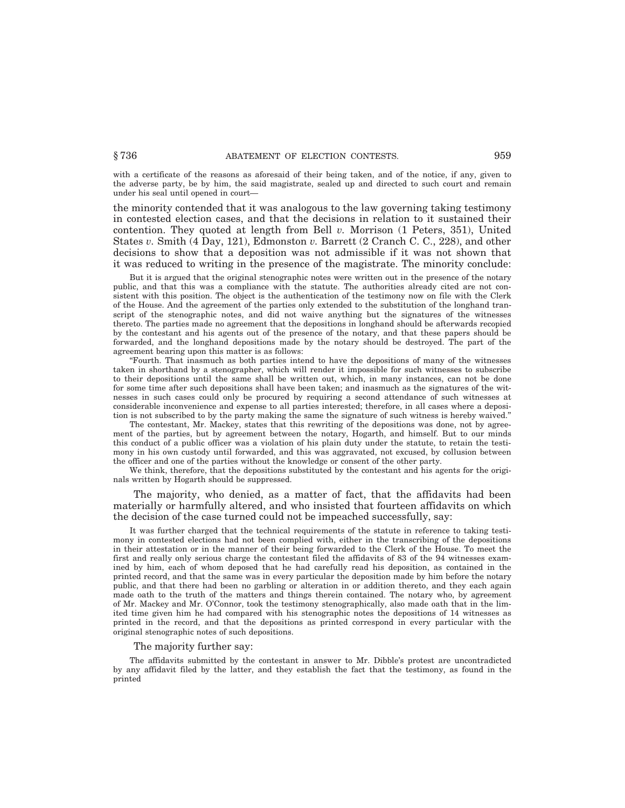with a certificate of the reasons as aforesaid of their being taken, and of the notice, if any, given to the adverse party, be by him, the said magistrate, sealed up and directed to such court and remain under his seal until opened in court—

the minority contended that it was analogous to the law governing taking testimony in contested election cases, and that the decisions in relation to it sustained their contention. They quoted at length from Bell *v.* Morrison (1 Peters, 351), United States *v.* Smith (4 Day, 121), Edmonston *v.* Barrett (2 Cranch C. C., 228), and other decisions to show that a deposition was not admissible if it was not shown that it was reduced to writing in the presence of the magistrate. The minority conclude:

But it is argued that the original stenographic notes were written out in the presence of the notary public, and that this was a compliance with the statute. The authorities already cited are not consistent with this position. The object is the authentication of the testimony now on file with the Clerk of the House. And the agreement of the parties only extended to the substitution of the longhand transcript of the stenographic notes, and did not waive anything but the signatures of the witnesses thereto. The parties made no agreement that the depositions in longhand should be afterwards recopied by the contestant and his agents out of the presence of the notary, and that these papers should be forwarded, and the longhand depositions made by the notary should be destroyed. The part of the agreement bearing upon this matter is as follows:

''Fourth. That inasmuch as both parties intend to have the depositions of many of the witnesses taken in shorthand by a stenographer, which will render it impossible for such witnesses to subscribe to their depositions until the same shall be written out, which, in many instances, can not be done for some time after such depositions shall have been taken; and inasmuch as the signatures of the witnesses in such cases could only be procured by requiring a second attendance of such witnesses at considerable inconvenience and expense to all parties interested; therefore, in all cases where a deposition is not subscribed to by the party making the same the signature of such witness is hereby waived.''

The contestant, Mr. Mackey, states that this rewriting of the depositions was done, not by agreement of the parties, but by agreement between the notary, Hogarth, and himself. But to our minds this conduct of a public officer was a violation of his plain duty under the statute, to retain the testimony in his own custody until forwarded, and this was aggravated, not excused, by collusion between the officer and one of the parties without the knowledge or consent of the other party.

We think, therefore, that the depositions substituted by the contestant and his agents for the originals written by Hogarth should be suppressed.

The majority, who denied, as a matter of fact, that the affidavits had been materially or harmfully altered, and who insisted that fourteen affidavits on which the decision of the case turned could not be impeached successfully, say:

It was further charged that the technical requirements of the statute in reference to taking testimony in contested elections had not been complied with, either in the transcribing of the depositions in their attestation or in the manner of their being forwarded to the Clerk of the House. To meet the first and really only serious charge the contestant filed the affidavits of 83 of the 94 witnesses examined by him, each of whom deposed that he had carefully read his deposition, as contained in the printed record, and that the same was in every particular the deposition made by him before the notary public, and that there had been no garbling or alteration in or addition thereto, and they each again made oath to the truth of the matters and things therein contained. The notary who, by agreement of Mr. Mackey and Mr. O'Connor, took the testimony stenographically, also made oath that in the limited time given him he had compared with his stenographic notes the depositions of 14 witnesses as printed in the record, and that the depositions as printed correspond in every particular with the original stenographic notes of such depositions.

## The majority further say:

The affidavits submitted by the contestant in answer to Mr. Dibble's protest are uncontradicted by any affidavit filed by the latter, and they establish the fact that the testimony, as found in the printed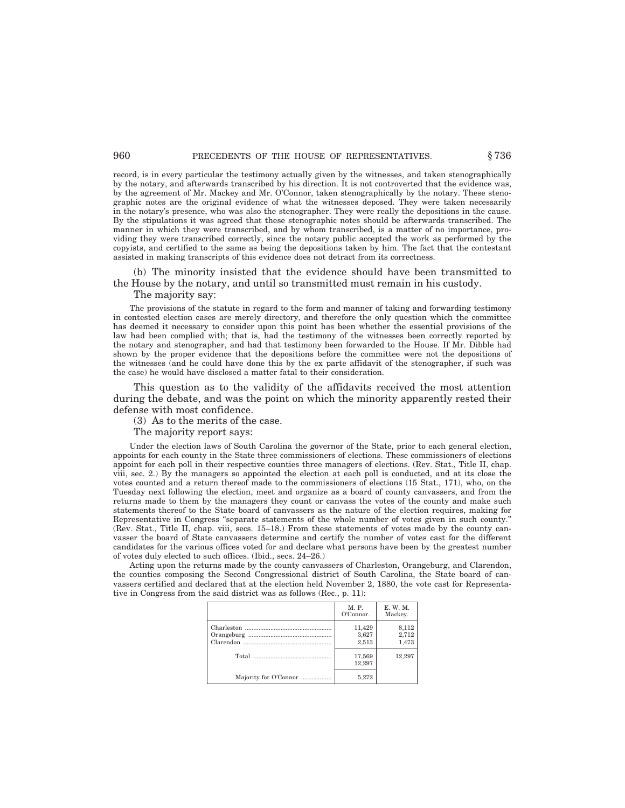## 960 **PRECEDENTS OF THE HOUSE OF REPRESENTATIVES.**  $§ 736$

record, is in every particular the testimony actually given by the witnesses, and taken stenographically by the notary, and afterwards transcribed by his direction. It is not controverted that the evidence was, by the agreement of Mr. Mackey and Mr. O'Connor, taken stenographically by the notary. These stenographic notes are the original evidence of what the witnesses deposed. They were taken necessarily in the notary's presence, who was also the stenographer. They were really the depositions in the cause. By the stipulations it was agreed that these stenographic notes should be afterwards transcribed. The manner in which they were transcribed, and by whom transcribed, is a matter of no importance, providing they were transcribed correctly, since the notary public accepted the work as performed by the copyists, and certified to the same as being the depositions taken by him. The fact that the contestant assisted in making transcripts of this evidence does not detract from its correctness.

(b) The minority insisted that the evidence should have been transmitted to the House by the notary, and until so transmitted must remain in his custody.

The majority say:

The provisions of the statute in regard to the form and manner of taking and forwarding testimony in contested election cases are merely directory, and therefore the only question which the committee has deemed it necessary to consider upon this point has been whether the essential provisions of the law had been complied with; that is, had the testimony of the witnesses been correctly reported by the notary and stenographer, and had that testimony been forwarded to the House. If Mr. Dibble had shown by the proper evidence that the depositions before the committee were not the depositions of the witnesses (and he could have done this by the ex parte affidavit of the stenographer, if such was the case) he would have disclosed a matter fatal to their consideration.

This question as to the validity of the affidavits received the most attention during the debate, and was the point on which the minority apparently rested their defense with most confidence.

(3) As to the merits of the case.

The majority report says:

Under the election laws of South Carolina the governor of the State, prior to each general election, appoints for each county in the State three commissioners of elections. These commissioners of elections appoint for each poll in their respective counties three managers of elections. (Rev. Stat., Title II, chap. viii, sec. 2.) By the managers so appointed the election at each poll is conducted, and at its close the votes counted and a return thereof made to the commissioners of elections (15 Stat., 171), who, on the Tuesday next following the election, meet and organize as a board of county canvassers, and from the returns made to them by the managers they count or canvass the votes of the county and make such statements thereof to the State board of canvassers as the nature of the election requires, making for Representative in Congress ''separate statements of the whole number of votes given in such county.'' (Rev. Stat., Title II, chap. viii, secs. 15–18.) From these statements of votes made by the county canvasser the board of State canvassers determine and certify the number of votes cast for the different candidates for the various offices voted for and declare what persons have been by the greatest number of votes duly elected to such offices. (Ibid., secs. 24–26.)

Acting upon the returns made by the county canvassers of Charleston, Orangeburg, and Clarendon, the counties composing the Second Congressional district of South Carolina, the State board of canvassers certified and declared that at the election held November 2, 1880, the vote cast for Representative in Congress from the said district was as follows (Rec., p. 11):

|                       | M. P.<br>O'Connor.       | E. W. M.<br>Mackey.     |
|-----------------------|--------------------------|-------------------------|
|                       | 11,429<br>3,627<br>2.513 | 8,112<br>2,712<br>1.473 |
|                       | 17,569<br>12.297         | 12.297                  |
| Majority for O'Connor | 5,272                    |                         |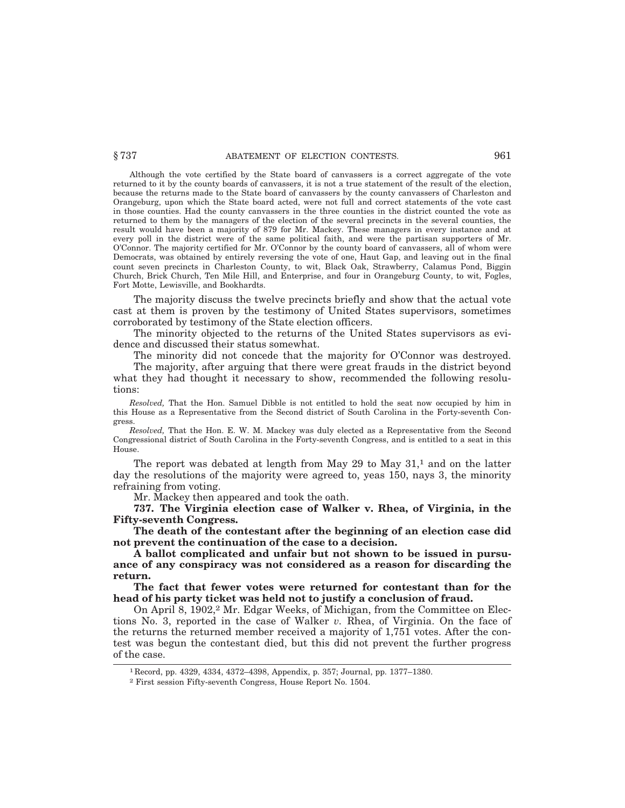Although the vote certified by the State board of canvassers is a correct aggregate of the vote returned to it by the county boards of canvassers, it is not a true statement of the result of the election, because the returns made to the State board of canvassers by the county canvassers of Charleston and Orangeburg, upon which the State board acted, were not full and correct statements of the vote cast in those counties. Had the county canvassers in the three counties in the district counted the vote as returned to them by the managers of the election of the several precincts in the several counties, the result would have been a majority of 879 for Mr. Mackey. These managers in every instance and at every poll in the district were of the same political faith, and were the partisan supporters of Mr. O'Connor. The majority certified for Mr. O'Connor by the county board of canvassers, all of whom were Democrats, was obtained by entirely reversing the vote of one, Haut Gap, and leaving out in the final count seven precincts in Charleston County, to wit, Black Oak, Strawberry, Calamus Pond, Biggin Church, Brick Church, Ten Mile Hill, and Enterprise, and four in Orangeburg County, to wit, Fogles, Fort Motte, Lewisville, and Bookhardts.

The majority discuss the twelve precincts briefly and show that the actual vote cast at them is proven by the testimony of United States supervisors, sometimes corroborated by testimony of the State election officers.

The minority objected to the returns of the United States supervisors as evidence and discussed their status somewhat.

The minority did not concede that the majority for O'Connor was destroyed.

The majority, after arguing that there were great frauds in the district beyond what they had thought it necessary to show, recommended the following resolutions:

*Resolved,* That the Hon. Samuel Dibble is not entitled to hold the seat now occupied by him in this House as a Representative from the Second district of South Carolina in the Forty-seventh Congress.

*Resolved,* That the Hon. E. W. M. Mackey was duly elected as a Representative from the Second Congressional district of South Carolina in the Forty-seventh Congress, and is entitled to a seat in this House.

The report was debated at length from May 29 to May  $31<sup>1</sup>$  and on the latter day the resolutions of the majority were agreed to, yeas 150, nays 3, the minority refraining from voting.

Mr. Mackey then appeared and took the oath.

**737. The Virginia election case of Walker v. Rhea, of Virginia, in the Fifty-seventh Congress.**

**The death of the contestant after the beginning of an election case did not prevent the continuation of the case to a decision.**

**A ballot complicated and unfair but not shown to be issued in pursuance of any conspiracy was not considered as a reason for discarding the return.**

**The fact that fewer votes were returned for contestant than for the head of his party ticket was held not to justify a conclusion of fraud.**

On April 8, 1902,<sup>2</sup> Mr. Edgar Weeks, of Michigan, from the Committee on Elections No. 3, reported in the case of Walker *v.* Rhea, of Virginia. On the face of the returns the returned member received a majority of 1,751 votes. After the contest was begun the contestant died, but this did not prevent the further progress of the case.

<sup>1</sup> Record, pp. 4329, 4334, 4372–4398, Appendix, p. 357; Journal, pp. 1377–1380.

<sup>2</sup> First session Fifty-seventh Congress, House Report No. 1504.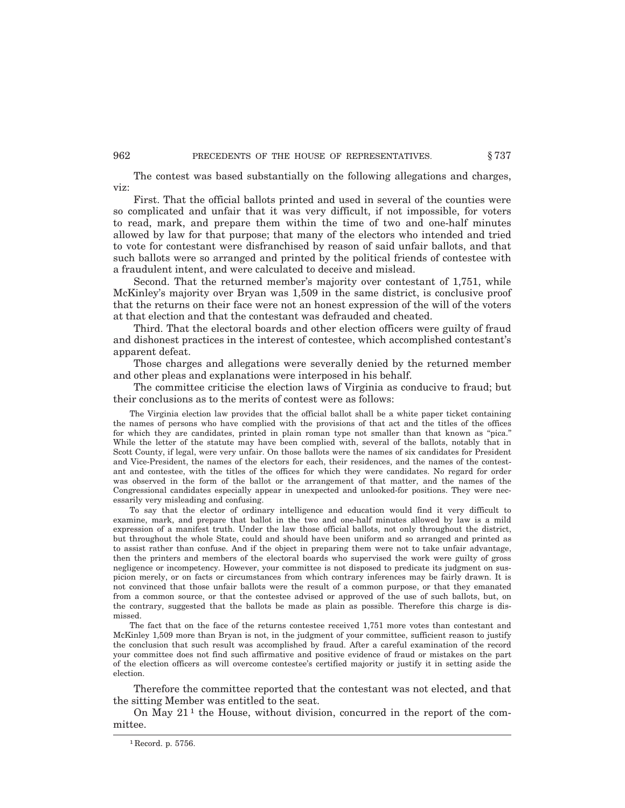The contest was based substantially on the following allegations and charges, viz:

First. That the official ballots printed and used in several of the counties were so complicated and unfair that it was very difficult, if not impossible, for voters to read, mark, and prepare them within the time of two and one-half minutes allowed by law for that purpose; that many of the electors who intended and tried to vote for contestant were disfranchised by reason of said unfair ballots, and that such ballots were so arranged and printed by the political friends of contestee with a fraudulent intent, and were calculated to deceive and mislead.

Second. That the returned member's majority over contestant of 1,751, while McKinley's majority over Bryan was 1,509 in the same district, is conclusive proof that the returns on their face were not an honest expression of the will of the voters at that election and that the contestant was defrauded and cheated.

Third. That the electoral boards and other election officers were guilty of fraud and dishonest practices in the interest of contestee, which accomplished contestant's apparent defeat.

Those charges and allegations were severally denied by the returned member and other pleas and explanations were interposed in his behalf.

The committee criticise the election laws of Virginia as conducive to fraud; but their conclusions as to the merits of contest were as follows:

The Virginia election law provides that the official ballot shall be a white paper ticket containing the names of persons who have complied with the provisions of that act and the titles of the offices for which they are candidates, printed in plain roman type not smaller than that known as ''pica.'' While the letter of the statute may have been complied with, several of the ballots, notably that in Scott County, if legal, were very unfair. On those ballots were the names of six candidates for President and Vice-President, the names of the electors for each, their residences, and the names of the contestant and contestee, with the titles of the offices for which they were candidates. No regard for order was observed in the form of the ballot or the arrangement of that matter, and the names of the Congressional candidates especially appear in unexpected and unlooked-for positions. They were necessarily very misleading and confusing.

To say that the elector of ordinary intelligence and education would find it very difficult to examine, mark, and prepare that ballot in the two and one-half minutes allowed by law is a mild expression of a manifest truth. Under the law those official ballots, not only throughout the district, but throughout the whole State, could and should have been uniform and so arranged and printed as to assist rather than confuse. And if the object in preparing them were not to take unfair advantage, then the printers and members of the electoral boards who supervised the work were guilty of gross negligence or incompetency. However, your committee is not disposed to predicate its judgment on suspicion merely, or on facts or circumstances from which contrary inferences may be fairly drawn. It is not convinced that those unfair ballots were the result of a common purpose, or that they emanated from a common source, or that the contestee advised or approved of the use of such ballots, but, on the contrary, suggested that the ballots be made as plain as possible. Therefore this charge is dismissed.

The fact that on the face of the returns contestee received 1,751 more votes than contestant and McKinley 1,509 more than Bryan is not, in the judgment of your committee, sufficient reason to justify the conclusion that such result was accomplished by fraud. After a careful examination of the record your committee does not find such affirmative and positive evidence of fraud or mistakes on the part of the election officers as will overcome contestee's certified majority or justify it in setting aside the election.

Therefore the committee reported that the contestant was not elected, and that the sitting Member was entitled to the seat.

On May  $21<sup>1</sup>$  the House, without division, concurred in the report of the committee.

<sup>&</sup>lt;sup>1</sup> Record. p. 5756.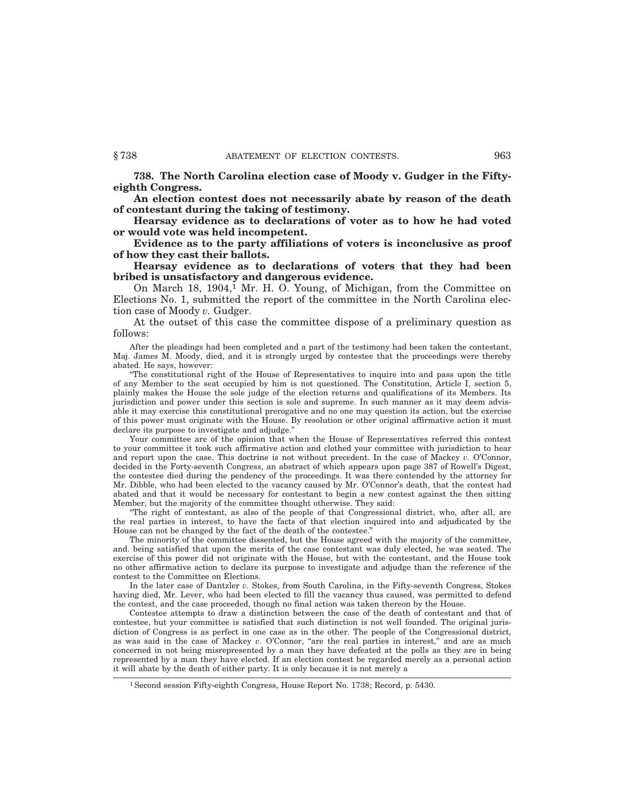**738. The North Carolina election case of Moody v. Gudger in the Fiftyeighth Congress.**

**An election contest does not necessarily abate by reason of the death of contestant during the taking of testimony.**

**Hearsay evidence as to declarations of voter as to how he had voted or would vote was held incompetent.**

**Evidence as to the party affiliations of voters is inconclusive as proof of how they cast their ballots.**

**Hearsay evidence as to declarations of voters that they had been bribed is unsatisfactory and dangerous evidence.**

On March 18,  $1904<sup>1</sup>$  Mr. H. O. Young, of Michigan, from the Committee on Elections No. 1, submitted the report of the committee in the North Carolina election case of Moody *v.* Gudger.

At the outset of this case the committee dispose of a preliminary question as follows:

After the pleadings had been completed and a part of the testimony had been taken the contestant, Maj. James M. Moody, died, and it is strongly urged by contestee that the proceedings were thereby abated. He says, however:

''The constitutional right of the House of Representatives to inquire into and pass upon the title of any Member to the seat occupied by him is not questioned. The Constitution, Article I, section 5, plainly makes the House the sole judge of the election returns and qualifications of its Members. Its jurisdiction and power under this section is sole and supreme. In such manner as it may deem advisable it may exercise this constitutional prerogative and no one may question its action, but the exercise of this power must originate with the House. By resolution or other original affirmative action it must declare its purpose to investigate and adjudge.''

Your committee are of the opinion that when the House of Representatives referred this contest to your committee it took such affirmative action and clothed your committee with jurisdiction to hear and report upon the case. This doctrine is not without precedent. In the case of Mackey *v.* O'Connor, decided in the Forty-seventh Congress, an abstract of which appears upon page 387 of Rowell's Digest, the contestee died during the pendency of the proceedings. It was there contended by the attorney for Mr. Dibble, who had been elected to the vacancy caused by Mr. O'Connor's death, that the contest had abated and that it would be necessary for contestant to begin a new contest against the then sitting Member, but the majority of the committee thought otherwise. They said:

The right of contestant, as also of the people of that Congressional district, who, after all, are the real parties in interest, to have the facts of that election inquired into and adjudicated by the House can not be changed by the fact of the death of the contestee.''

The minority of the committee dissented, but the House agreed with the majority of the committee, and. being satisfied that upon the merits of the case contestant was duly elected, he was seated. The exercise of this power did not originate with the House, but with the contestant, and the House took no other affirmative action to declare its purpose to investigate and adjudge than the reference of the contest to the Committee on Elections.

In the later case of Dantzler *v.* Stokes, from South Carolina, in the Fifty-seventh Congress, Stokes having died, Mr. Lever, who had been elected to fill the vacancy thus caused, was permitted to defend the contest, and the case proceeded, though no final action was taken thereon by the House.

Contestee attempts to draw a distinction between the case of the death of contestant and that of contestee, but your committee is satisfied that such distinction is not well founded. The original jurisdiction of Congress is as perfect in one case as in the other. The people of the Congressional district, as was said in the case of Mackey *v*. O'Connor, "are the real parties in interest," and are as much concerned in not being misrepresented by a man they have defeated at the polls as they are in being represented by a man they have elected. If an election contest be regarded merely as a personal action it will abate by the death of either party. It is only because it is not merely a

<sup>&</sup>lt;sup>1</sup> Second session Fifty-eighth Congress, House Report No. 1738; Record, p. 5430.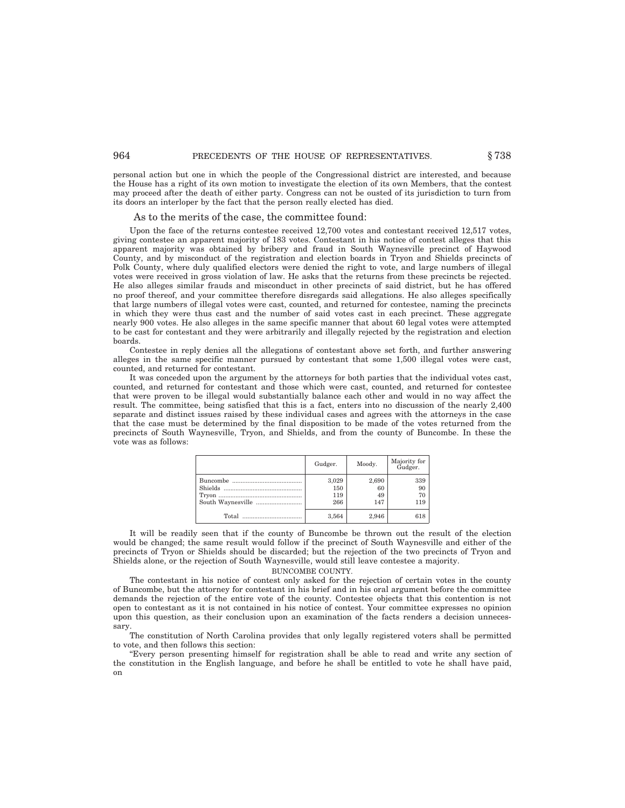personal action but one in which the people of the Congressional district are interested, and because the House has a right of its own motion to investigate the election of its own Members, that the contest may proceed after the death of either party. Congress can not be ousted of its jurisdiction to turn from its doors an interloper by the fact that the person really elected has died.

#### As to the merits of the case, the committee found:

Upon the face of the returns contestee received 12,700 votes and contestant received 12,517 votes, giving contestee an apparent majority of 183 votes. Contestant in his notice of contest alleges that this apparent majority was obtained by bribery and fraud in South Waynesville precinct of Haywood County, and by misconduct of the registration and election boards in Tryon and Shields precincts of Polk County, where duly qualified electors were denied the right to vote, and large numbers of illegal votes were received in gross violation of law. He asks that the returns from these precincts be rejected. He also alleges similar frauds and misconduct in other precincts of said district, but he has offered no proof thereof, and your committee therefore disregards said allegations. He also alleges specifically that large numbers of illegal votes were cast, counted, and returned for contestee, naming the precincts in which they were thus cast and the number of said votes cast in each precinct. These aggregate nearly 900 votes. He also alleges in the same specific manner that about 60 legal votes were attempted to be cast for contestant and they were arbitrarily and illegally rejected by the registration and election boards.

Contestee in reply denies all the allegations of contestant above set forth, and further answering alleges in the same specific manner pursued by contestant that some 1,500 illegal votes were cast, counted, and returned for contestant.

It was conceded upon the argument by the attorneys for both parties that the individual votes cast, counted, and returned for contestant and those which were cast, counted, and returned for contestee that were proven to be illegal would substantially balance each other and would in no way affect the result. The committee, being satisfied that this is a fact, enters into no discussion of the nearly 2,400 separate and distinct issues raised by these individual cases and agrees with the attorneys in the case that the case must be determined by the final disposition to be made of the votes returned from the precincts of South Waynesville, Tryon, and Shields, and from the county of Buncombe. In these the vote was as follows:

| Gudger.                    | Moody.                   | Majority for<br>Gudger. |
|----------------------------|--------------------------|-------------------------|
| 3,029<br>150<br>119<br>266 | 2,690<br>60<br>49<br>147 | 339<br>90<br>70<br>119  |
| 3.564                      | 2.946                    | 618                     |

It will be readily seen that if the county of Buncombe be thrown out the result of the election would be changed; the same result would follow if the precinct of South Waynesville and either of the precincts of Tryon or Shields should be discarded; but the rejection of the two precincts of Tryon and Shields alone, or the rejection of South Waynesville, would still leave contestee a majority.

BUNCOMBE COUNTY.

The contestant in his notice of contest only asked for the rejection of certain votes in the county of Buncombe, but the attorney for contestant in his brief and in his oral argument before the committee demands the rejection of the entire vote of the county. Contestee objects that this contention is not open to contestant as it is not contained in his notice of contest. Your committee expresses no opinion upon this question, as their conclusion upon an examination of the facts renders a decision unnecessary.

The constitution of North Carolina provides that only legally registered voters shall be permitted to vote, and then follows this section:

''Every person presenting himself for registration shall be able to read and write any section of the constitution in the English language, and before he shall be entitled to vote he shall have paid, on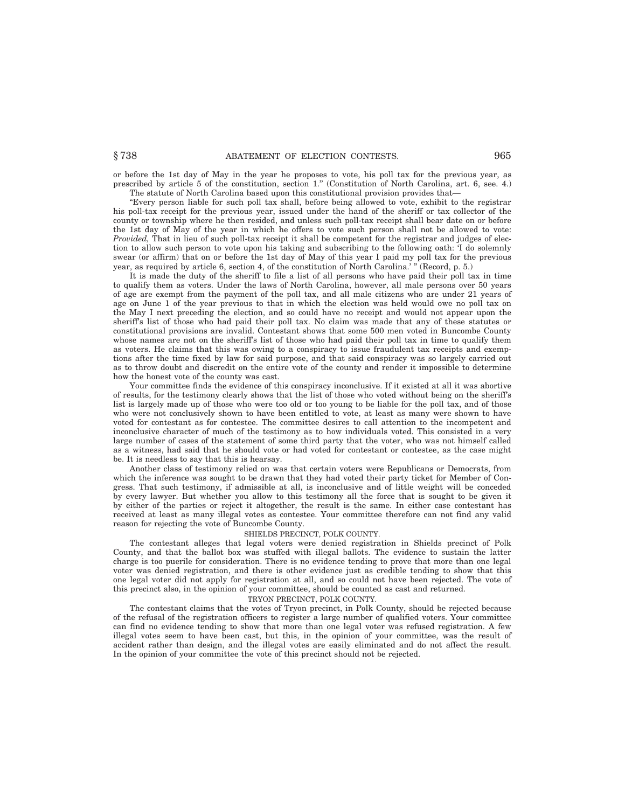## § 738 ABATEMENT OF ELECTION CONTESTS. 965

or before the 1st day of May in the year he proposes to vote, his poll tax for the previous year, as prescribed by article 5 of the constitution, section 1.'' (Constitution of North Carolina, art. 6, see. 4.) The statute of North Carolina based upon this constitutional provision provides that—

''Every person liable for such poll tax shall, before being allowed to vote, exhibit to the registrar his poll-tax receipt for the previous year, issued under the hand of the sheriff or tax collector of the county or township where he then resided, and unless such poll-tax receipt shall bear date on or before the 1st day of May of the year in which he offers to vote such person shall not be allowed to vote: *Provided*, That in lieu of such poll-tax receipt it shall be competent for the registrar and judges of election to allow such person to vote upon his taking and subscribing to the following oath: 'I do solemnly swear (or affirm) that on or before the 1st day of May of this year I paid my poll tax for the previous year, as required by article 6, section 4, of the constitution of North Carolina.' '' (Record, p. 5.)

It is made the duty of the sheriff to file a list of all persons who have paid their poll tax in time to qualify them as voters. Under the laws of North Carolina, however, all male persons over 50 years of age are exempt from the payment of the poll tax, and all male citizens who are under 21 years of age on June 1 of the year previous to that in which the election was held would owe no poll tax on the May I next preceding the election, and so could have no receipt and would not appear upon the sheriff's list of those who had paid their poll tax. No claim was made that any of these statutes or constitutional provisions are invalid. Contestant shows that some 500 men voted in Buncombe County whose names are not on the sheriff's list of those who had paid their poll tax in time to qualify them as voters. He claims that this was owing to a conspiracy to issue fraudulent tax receipts and exemptions after the time fixed by law for said purpose, and that said conspiracy was so largely carried out as to throw doubt and discredit on the entire vote of the county and render it impossible to determine how the honest vote of the county was cast.

Your committee finds the evidence of this conspiracy inconclusive. If it existed at all it was abortive of results, for the testimony clearly shows that the list of those who voted without being on the sheriff's list is largely made up of those who were too old or too young to be liable for the poll tax, and of those who were not conclusively shown to have been entitled to vote, at least as many were shown to have voted for contestant as for contestee. The committee desires to call attention to the incompetent and inconclusive character of much of the testimony as to how individuals voted. This consisted in a very large number of cases of the statement of some third party that the voter, who was not himself called as a witness, had said that he should vote or had voted for contestant or contestee, as the case might be. It is needless to say that this is hearsay.

Another class of testimony relied on was that certain voters were Republicans or Democrats, from which the inference was sought to be drawn that they had voted their party ticket for Member of Congress. That such testimony, if admissible at all, is inconclusive and of little weight will be conceded by every lawyer. But whether you allow to this testimony all the force that is sought to be given it by either of the parties or reject it altogether, the result is the same. In either case contestant has received at least as many illegal votes as contestee. Your committee therefore can not find any valid reason for rejecting the vote of Buncombe County.

## SHIELDS PRECINCT, POLK COUNTY.

The contestant alleges that legal voters were denied registration in Shields precinct of Polk County, and that the ballot box was stuffed with illegal ballots. The evidence to sustain the latter charge is too puerile for consideration. There is no evidence tending to prove that more than one legal voter was denied registration, and there is other evidence just as credible tending to show that this one legal voter did not apply for registration at all, and so could not have been rejected. The vote of this precinct also, in the opinion of your committee, should be counted as cast and returned.

#### TRYON PRECINCT, POLK COUNTY.

The contestant claims that the votes of Tryon precinct, in Polk County, should be rejected because of the refusal of the registration officers to register a large number of qualified voters. Your committee can find no evidence tending to show that more than one legal voter was refused registration. A few illegal votes seem to have been cast, but this, in the opinion of your committee, was the result of accident rather than design, and the illegal votes are easily eliminated and do not affect the result. In the opinion of your committee the vote of this precinct should not be rejected.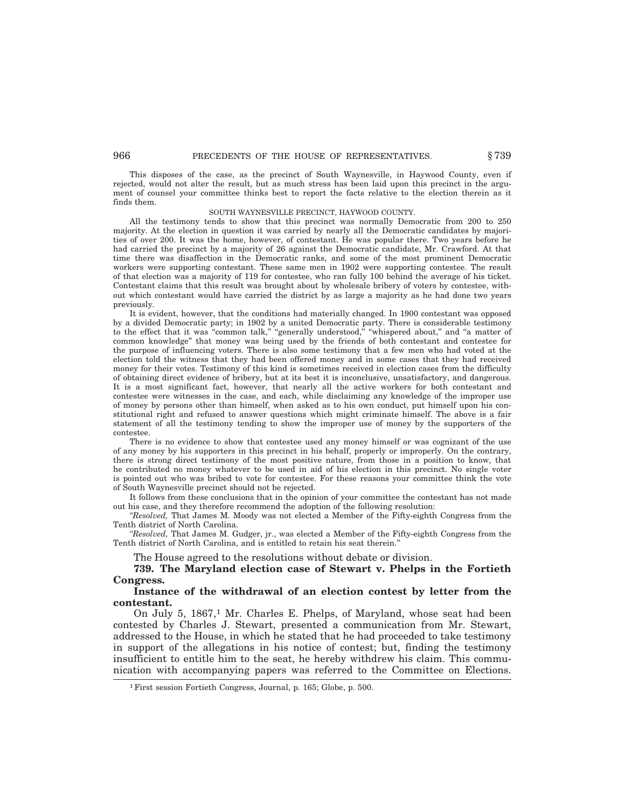## 966 **PRECEDENTS OF THE HOUSE OF REPRESENTATIVES.**  $§ 739$

This disposes of the case, as the precinct of South Waynesville, in Haywood County, even if rejected, would not alter the result, but as much stress has been laid upon this precinct in the argument of counsel your committee thinks best to report the facts relative to the election therein as it finds them.

#### SOUTH WAYNESVILLE PRECINCT, HAYWOOD COUNTY.

All the testimony tends to show that this precinct was normally Democratic from 200 to 250 majority. At the election in question it was carried by nearly all the Democratic candidates by majorities of over 200. It was the home, however, of contestant. He was popular there. Two years before he had carried the precinct by a majority of 26 against the Democratic candidate, Mr. Crawford. At that time there was disaffection in the Democratic ranks, and some of the most prominent Democratic workers were supporting contestant. These same men in 1902 were supporting contestee. The result of that election was a majority of 119 for contestee, who ran fully 100 behind the average of his ticket. Contestant claims that this result was brought about by wholesale bribery of voters by contestee, without which contestant would have carried the district by as large a majority as he had done two years previously.

It is evident, however, that the conditions had materially changed. In 1900 contestant was opposed by a divided Democratic party; in 1902 by a united Democratic party. There is considerable testimony to the effect that it was "common talk," "generally understood," "whispered about," and "a matter of common knowledge'' that money was being used by the friends of both contestant and contestee for the purpose of influencing voters. There is also some testimony that a few men who had voted at the election told the witness that they had been offered money and in some cases that they had received money for their votes. Testimony of this kind is sometimes received in election cases from the difficulty of obtaining direct evidence of bribery, but at its best it is inconclusive, unsatisfactory, and dangerous. It is a most significant fact, however, that nearly all the active workers for both contestant and contestee were witnesses in the case, and each, while disclaiming any knowledge of the improper use of money by persons other than himself, when asked as to his own conduct, put himself upon his constitutional right and refused to answer questions which might criminate himself. The above is a fair statement of all the testimony tending to show the improper use of money by the supporters of the contestee.

There is no evidence to show that contestee used any money himself or was cognizant of the use of any money by his supporters in this precinct in his behalf, properly or improperly. On the contrary, there is strong direct testimony of the most positive nature, from those in a position to know, that he contributed no money whatever to be used in aid of his election in this precinct. No single voter is pointed out who was bribed to vote for contestee. For these reasons your committee think the vote of South Waynesville precinct should not be rejected.

It follows from these conclusions that in the opinion of your committee the contestant has not made out his case, and they therefore recommend the adoption of the following resolution:

*''Resolved,* That James M. Moody was not elected a Member of the Fifty-eighth Congress from the Tenth district of North Carolina.

*''Resolved,* That James M. Gudger, jr., was elected a Member of the Fifty-eighth Congress from the Tenth district of North Carolina, and is entitled to retain his seat therein.''

The House agreed to the resolutions without debate or division.

**739. The Maryland election case of Stewart v. Phelps in the Fortieth Congress.**

**Instance of the withdrawal of an election contest by letter from the contestant.**

On July 5, 1867,<sup>1</sup> Mr. Charles E. Phelps, of Maryland, whose seat had been contested by Charles J. Stewart, presented a communication from Mr. Stewart, addressed to the House, in which he stated that he had proceeded to take testimony in support of the allegations in his notice of contest; but, finding the testimony insufficient to entitle him to the seat, he hereby withdrew his claim. This communication with accompanying papers was referred to the Committee on Elections.

<sup>1</sup>First session Fortieth Congress, Journal, p. 165; Globe, p. 500.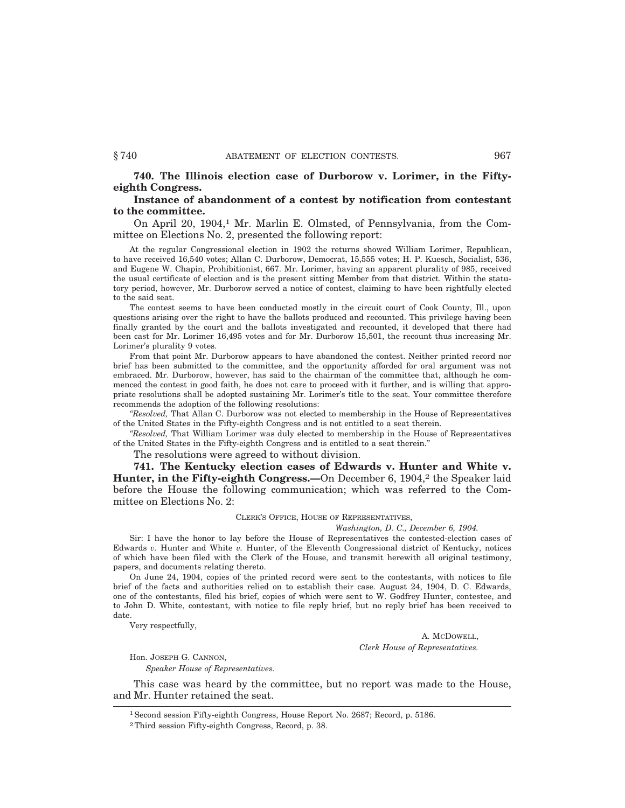**740. The Illinois election case of Durborow v. Lorimer, in the Fiftyeighth Congress.**

# **Instance of abandonment of a contest by notification from contestant to the committee.**

On April 20, 1904,<sup>1</sup> Mr. Marlin E. Olmsted, of Pennsylvania, from the Committee on Elections No. 2, presented the following report:

At the regular Congressional election in 1902 the returns showed William Lorimer, Republican, to have received 16,540 votes; Allan C. Durborow, Democrat, 15,555 votes; H. P. Kuesch, Socialist, 536, and Eugene W. Chapin, Prohibitionist, 667. Mr. Lorimer, having an apparent plurality of 985, received the usual certificate of election and is the present sitting Member from that district. Within the statutory period, however, Mr. Durborow served a notice of contest, claiming to have been rightfully elected to the said seat.

The contest seems to have been conducted mostly in the circuit court of Cook County, Ill., upon questions arising over the right to have the ballots produced and recounted. This privilege having been finally granted by the court and the ballots investigated and recounted, it developed that there had been cast for Mr. Lorimer 16,495 votes and for Mr. Durborow 15,501, the recount thus increasing Mr. Lorimer's plurality 9 votes.

From that point Mr. Durborow appears to have abandoned the contest. Neither printed record nor brief has been submitted to the committee, and the opportunity afforded for oral argument was not embraced. Mr. Durborow, however, has said to the chairman of the committee that, although he commenced the contest in good faith, he does not care to proceed with it further, and is willing that appropriate resolutions shall be adopted sustaining Mr. Lorimer's title to the seat. Your committee therefore recommends the adoption of the following resolutions:

*''Resolved,* That Allan C. Durborow was not elected to membership in the House of Representatives of the United States in the Fifty-eighth Congress and is not entitled to a seat therein.

*''Resolved,* That William Lorimer was duly elected to membership in the House of Representatives of the United States in the Fifty-eighth Congress and is entitled to a seat therein.''

The resolutions were agreed to without division.

**741. The Kentucky election cases of Edwards v. Hunter and White v. Hunter, in the Fifty-eighth Congress.—On December 6, 1904,<sup>2</sup> the Speaker laid** before the House the following communication; which was referred to the Committee on Elections No. 2:

## CLERK'S OFFICE, HOUSE OF REPRESENTATIVES,

## *Washington, D. C., December 6, 1904.*

Sir: I have the honor to lay before the House of Representatives the contested-election cases of Edwards *v.* Hunter and White *v.* Hunter, of the Eleventh Congressional district of Kentucky, notices of which have been filed with the Clerk of the House, and transmit herewith all original testimony, papers, and documents relating thereto.

On June 24, 1904, copies of the printed record were sent to the contestants, with notices to file brief of the facts and authorities relied on to establish their case. August 24, 1904, D. C. Edwards, one of the contestants, filed his brief, copies of which were sent to W. Godfrey Hunter, contestee, and to John D. White, contestant, with notice to file reply brief, but no reply brief has been received to date.

Very respectfully,

A. MCDOWELL, *Clerk House of Representatives.*

Hon. JOSEPH G. CANNON,

*Speaker House of Representatives.*

This case was heard by the committee, but no report was made to the House, and Mr. Hunter retained the seat.

<sup>1</sup>Second session Fifty-eighth Congress, House Report No. 2687; Record, p. 5186.

<sup>2</sup>Third session Fifty-eighth Congress, Record, p. 38.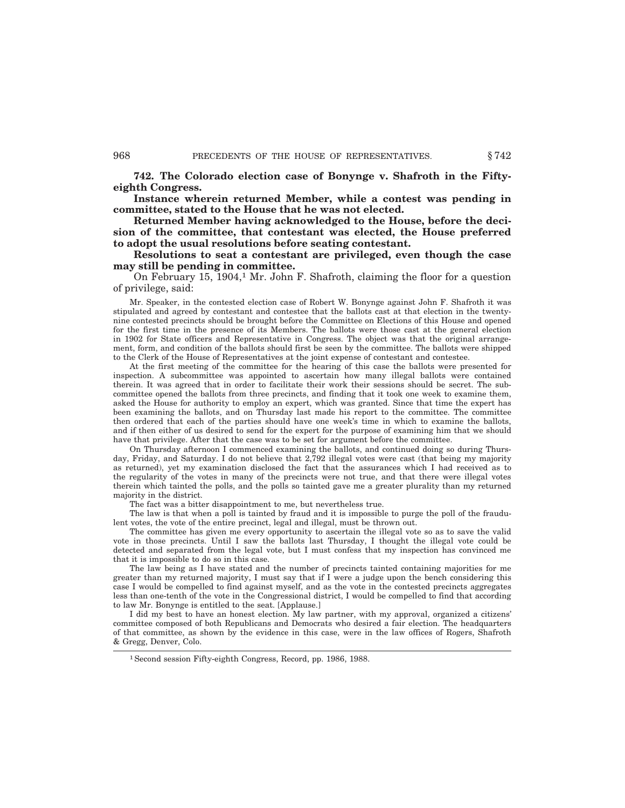**742. The Colorado election case of Bonynge v. Shafroth in the Fiftyeighth Congress.**

**Instance wherein returned Member, while a contest was pending in committee, stated to the House that he was not elected.**

**Returned Member having acknowledged to the House, before the decision of the committee, that contestant was elected, the House preferred to adopt the usual resolutions before seating contestant.**

**Resolutions to seat a contestant are privileged, even though the case may still be pending in committee.**

On February 15, 1904,<sup>1</sup> Mr. John F. Shafroth, claiming the floor for a question of privilege, said:

Mr. Speaker, in the contested election case of Robert W. Bonynge against John F. Shafroth it was stipulated and agreed by contestant and contestee that the ballots cast at that election in the twentynine contested precincts should be brought before the Committee on Elections of this House and opened for the first time in the presence of its Members. The ballots were those cast at the general election in 1902 for State officers and Representative in Congress. The object was that the original arrangement, form, and condition of the ballots should first be seen by the committee. The ballots were shipped to the Clerk of the House of Representatives at the joint expense of contestant and contestee.

At the first meeting of the committee for the hearing of this case the ballots were presented for inspection. A subcommittee was appointed to ascertain how many illegal ballots were contained therein. It was agreed that in order to facilitate their work their sessions should be secret. The subcommittee opened the ballots from three precincts, and finding that it took one week to examine them, asked the House for authority to employ an expert, which was granted. Since that time the expert has been examining the ballots, and on Thursday last made his report to the committee. The committee then ordered that each of the parties should have one week's time in which to examine the ballots, and if then either of us desired to send for the expert for the purpose of examining him that we should have that privilege. After that the case was to be set for argument before the committee.

On Thursday afternoon I commenced examining the ballots, and continued doing so during Thursday, Friday, and Saturday. I do not believe that 2,792 illegal votes were cast (that being my majority as returned), yet my examination disclosed the fact that the assurances which I had received as to the regularity of the votes in many of the precincts were not true, and that there were illegal votes therein which tainted the polls, and the polls so tainted gave me a greater plurality than my returned majority in the district.

The fact was a bitter disappointment to me, but nevertheless true.

The law is that when a poll is tainted by fraud and it is impossible to purge the poll of the fraudulent votes, the vote of the entire precinct, legal and illegal, must be thrown out.

The committee has given me every opportunity to ascertain the illegal vote so as to save the valid vote in those precincts. Until I saw the ballots last Thursday, I thought the illegal vote could be detected and separated from the legal vote, but I must confess that my inspection has convinced me that it is impossible to do so in this case.

The law being as I have stated and the number of precincts tainted containing majorities for me greater than my returned majority, I must say that if I were a judge upon the bench considering this case I would be compelled to find against myself, and as the vote in the contested precincts aggregates less than one-tenth of the vote in the Congressional district, I would be compelled to find that according to law Mr. Bonynge is entitled to the seat. [Applause.]

I did my best to have an honest election. My law partner, with my approval, organized a citizens' committee composed of both Republicans and Democrats who desired a fair election. The headquarters of that committee, as shown by the evidence in this case, were in the law offices of Rogers, Shafroth & Gregg, Denver, Colo.

<sup>1</sup>Second session Fifty-eighth Congress, Record, pp. 1986, 1988.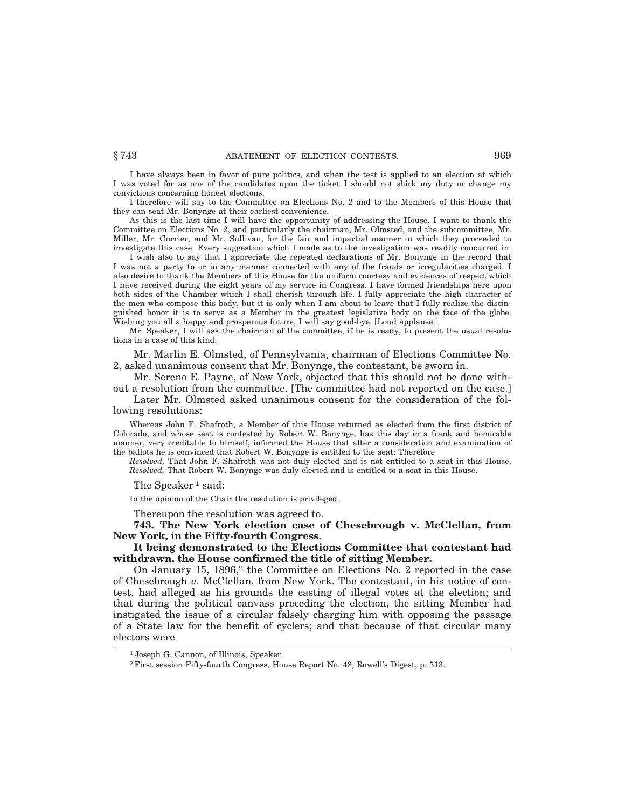I have always been in favor of pure politics, and when the test is applied to an election at which I was voted for as one of the candidates upon the ticket I should not shirk my duty or change my convictions concerning honest elections.

I therefore will say to the Committee on Elections No. 2 and to the Members of this House that they can seat Mr. Bonynge at their earliest convenience.

As this is the last time I will have the opportunity of addressing the House, I want to thank the Committee on Elections No. 2, and particularly the chairman, Mr. Olmsted, and the subcommittee, Mr. Miller, Mr. Currier, and Mr. Sullivan, for the fair and impartial manner in which they proceeded to investigate this case. Every suggestion which I made as to the investigation was readily concurred in.

I wish also to say that I appreciate the repeated declarations of Mr. Bonynge in the record that I was not a party to or in any manner connected with any of the frauds or irregularities charged. I also desire to thank the Members of this House for the uniform courtesy and evidences of respect which I have received during the eight years of my service in Congress. I have formed friendships here upon both sides of the Chamber which I shall cherish through life. I fully appreciate the high character of the men who compose this body, but it is only when I am about to leave that I fully realize the distinguished honor it is to serve as a Member in the greatest legislative body on the face of the globe. Wishing you all a happy and prosperous future, I will say good-bye. [Loud applause.]

Mr. Speaker, I will ask the chairman of the committee, if he is ready, to present the usual resolutions in a case of this kind.

Mr. Marlin E. Olmsted, of Pennsylvania, chairman of Elections Committee No. 2, asked unanimous consent that Mr. Bonynge, the contestant, be sworn in.

Mr. Sereno E. Payne, of New York, objected that this should not be done with-

out a resolution from the committee. [The committee had not reported on the case.] Later Mr. Olmsted asked unanimous consent for the consideration of the fol-

lowing resolutions:

Whereas John F. Shafroth, a Member of this House returned as elected from the first district of Colorado, and whose seat is contested by Robert W. Bonynge, has this day in a frank and honorable manner, very creditable to himself, informed the House that after a consideration and examination of the ballots he is convinced that Robert W. Bonynge is entitled to the seat: Therefore

*Resolved,* That John F. Shafroth was not duly elected and is not entitled to a seat in this House. *Resolved,* That Robert W. Bonynge was duly elected and is entitled to a seat in this House.

The Speaker<sup>1</sup> said:

In the opinion of the Chair the resolution is privileged.

Thereupon the resolution was agreed to.

**743. The New York election case of Chesebrough v. McClellan, from New York, in the Fifty-fourth Congress.**

# **It being demonstrated to the Elections Committee that contestant had withdrawn, the House confirmed the title of sitting Member.**

On January 15,  $1896<sup>2</sup>$  the Committee on Elections No. 2 reported in the case of Chesebrough *v.* McClellan, from New York. The contestant, in his notice of contest, had alleged as his grounds the casting of illegal votes at the election; and that during the political canvass preceding the election, the sitting Member had instigated the issue of a circular falsely charging him with opposing the passage of a State law for the benefit of cyclers; and that because of that circular many electors were

<sup>1</sup> Joseph G. Cannon, of Illinois, Speaker.

<sup>2</sup>First session Fifty-fourth Congress, House Report No. 48; Rowell's Digest, p. 513.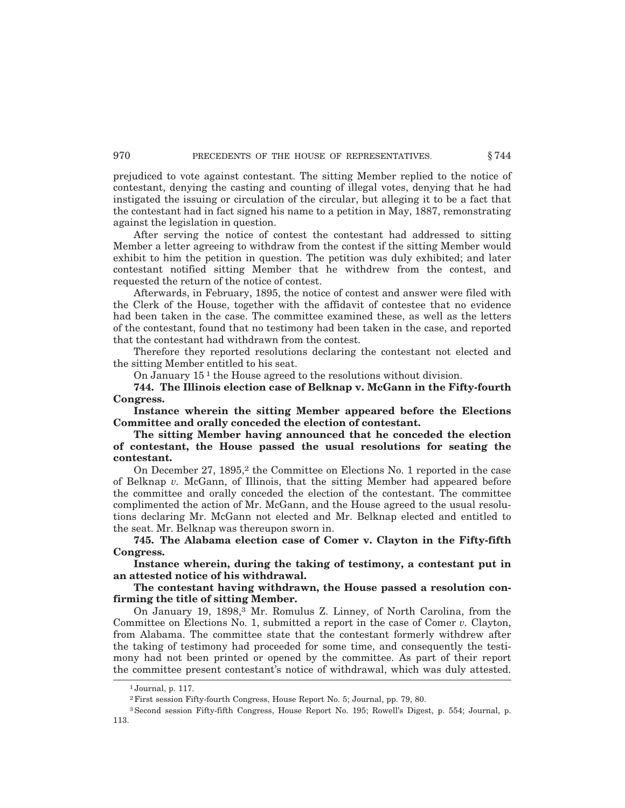prejudiced to vote against contestant. The sitting Member replied to the notice of contestant, denying the casting and counting of illegal votes, denying that he had instigated the issuing or circulation of the circular, but alleging it to be a fact that the contestant had in fact signed his name to a petition in May, 1887, remonstrating against the legislation in question.

After serving the notice of contest the contestant had addressed to sitting Member a letter agreeing to withdraw from the contest if the sitting Member would exhibit to him the petition in question. The petition was duly exhibited; and later contestant notified sitting Member that he withdrew from the contest, and requested the return of the notice of contest.

Afterwards, in February, 1895, the notice of contest and answer were filed with the Clerk of the House, together with the affidavit of contestee that no evidence had been taken in the case. The committee examined these, as well as the letters of the contestant, found that no testimony had been taken in the case, and reported that the contestant had withdrawn from the contest.

Therefore they reported resolutions declaring the contestant not elected and the sitting Member entitled to his seat.

On January 15 1 the House agreed to the resolutions without division.

**744. The Illinois election case of Belknap v. McGann in the Fifty-fourth Congress.**

**Instance wherein the sitting Member appeared before the Elections Committee and orally conceded the election of contestant.**

**The sitting Member having announced that he conceded the election of contestant, the House passed the usual resolutions for seating the contestant.**

On December 27, 1895,<sup>2</sup> the Committee on Elections No. 1 reported in the case of Belknap *v.* McGann, of Illinois, that the sitting Member had appeared before the committee and orally conceded the election of the contestant. The committee complimented the action of Mr. McGann, and the House agreed to the usual resolutions declaring Mr. McGann not elected and Mr. Belknap elected and entitled to the seat. Mr. Belknap was thereupon sworn in.

**745. The Alabama election case of Comer v. Clayton in the Fifty-fifth Congress.**

**Instance wherein, during the taking of testimony, a contestant put in an attested notice of his withdrawal.**

**The contestant having withdrawn, the House passed a resolution confirming the title of sitting Member.**

On January 19, 1898,3 Mr. Romulus Z. Linney, of North Carolina, from the Committee on Elections No. 1, submitted a report in the case of Comer *v.* Clayton, from Alabama. The committee state that the contestant formerly withdrew after the taking of testimony had proceeded for some time, and consequently the testimony had not been printed or opened by the committee. As part of their report the committee present contestant's notice of withdrawal, which was duly attested.

<sup>1</sup> Journal, p. 117.

<sup>2</sup>First session Fifty-fourth Congress, House Report No. 5; Journal, pp. 79, 80.

<sup>3</sup>Second session Fifty-fifth Congress, House Report No. 195; Rowell's Digest, p. 554; Journal, p. 113.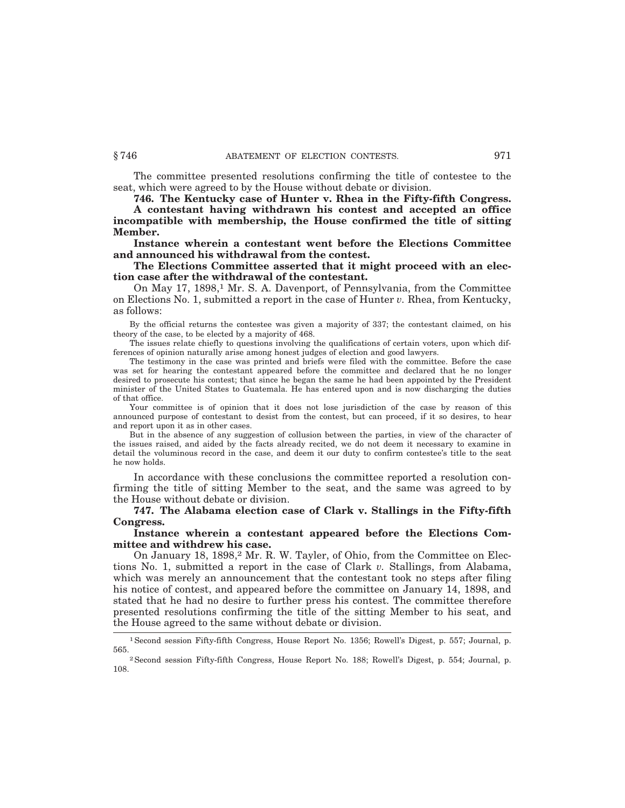The committee presented resolutions confirming the title of contestee to the seat, which were agreed to by the House without debate or division.

**746. The Kentucky case of Hunter v. Rhea in the Fifty-fifth Congress.**

**A contestant having withdrawn his contest and accepted an office incompatible with membership, the House confirmed the title of sitting Member.**

**Instance wherein a contestant went before the Elections Committee and announced his withdrawal from the contest.**

**The Elections Committee asserted that it might proceed with an election case after the withdrawal of the contestant.**

On May 17, 1898,1 Mr. S. A. Davenport, of Pennsylvania, from the Committee on Elections No. 1, submitted a report in the case of Hunter *v.* Rhea, from Kentucky, as follows:

By the official returns the contestee was given a majority of 337; the contestant claimed, on his theory of the case, to be elected by a majority of 468.

The issues relate chiefly to questions involving the qualifications of certain voters, upon which differences of opinion naturally arise among honest judges of election and good lawyers.

The testimony in the case was printed and briefs were filed with the committee. Before the case was set for hearing the contestant appeared before the committee and declared that he no longer desired to prosecute his contest; that since he began the same he had been appointed by the President minister of the United States to Guatemala. He has entered upon and is now discharging the duties of that office.

Your committee is of opinion that it does not lose jurisdiction of the case by reason of this announced purpose of contestant to desist from the contest, but can proceed, if it so desires, to hear and report upon it as in other cases.

But in the absence of any suggestion of collusion between the parties, in view of the character of the issues raised, and aided by the facts already recited, we do not deem it necessary to examine in detail the voluminous record in the case, and deem it our duty to confirm contestee's title to the seat he now holds.

In accordance with these conclusions the committee reported a resolution confirming the title of sitting Member to the seat, and the same was agreed to by the House without debate or division.

**747. The Alabama election case of Clark v. Stallings in the Fifty-fifth Congress.**

**Instance wherein a contestant appeared before the Elections Committee and withdrew his case.**

On January 18, 1898,<sup>2</sup> Mr. R. W. Tayler, of Ohio, from the Committee on Elections No. 1, submitted a report in the case of Clark *v.* Stallings, from Alabama, which was merely an announcement that the contestant took no steps after filing his notice of contest, and appeared before the committee on January 14, 1898, and stated that he had no desire to further press his contest. The committee therefore presented resolutions confirming the title of the sitting Member to his seat, and the House agreed to the same without debate or division.

<sup>1</sup>Second session Fifty-fifth Congress, House Report No. 1356; Rowell's Digest, p. 557; Journal, p. 565.<br><sup>2</sup> Second session Fifty-fifth Congress, House Report No. 188; Rowell's Digest, p. 554; Journal, p.

<sup>108.</sup>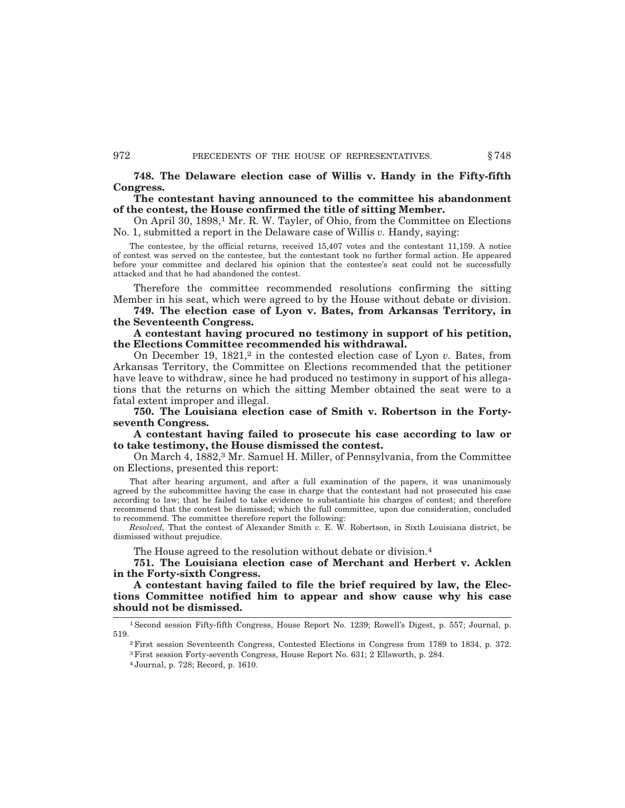**748. The Delaware election case of Willis v. Handy in the Fifty-fifth Congress.**

## **The contestant having announced to the committee his abandonment of the contest, the House confirmed the title of sitting Member.**

On April 30, 1898,<sup>1</sup> Mr. R. W. Tayler, of Ohio, from the Committee on Elections No. 1, submitted a report in the Delaware case of Willis *v.* Handy, saying:

The contestee, by the official returns, received 15,407 votes and the contestant 11,159. A notice of contest was served on the contestee, but the contestant took no further formal action. He appeared before your committee and declared his opinion that the contestee's seat could not be successfully attacked and that he had abandoned the contest.

Therefore the committee recommended resolutions confirming the sitting Member in his seat, which were agreed to by the House without debate or division.

**749. The election case of Lyon v. Bates, from Arkansas Territory, in the Seventeenth Congress.**

**A contestant having procured no testimony in support of his petition, the Elections Committee recommended his withdrawal.**

On December 19, 1821,<sup>2</sup> in the contested election case of Lyon *v*. Bates, from Arkansas Territory, the Committee on Elections recommended that the petitioner have leave to withdraw, since he had produced no testimony in support of his allegations that the returns on which the sitting Member obtained the seat were to a fatal extent improper and illegal.

**750. The Louisiana election case of Smith v. Robertson in the Fortyseventh Congress.**

**A contestant having failed to prosecute his case according to law or to take testimony, the House dismissed the contest.**

On March 4, 1882,<sup>3</sup> Mr. Samuel H. Miller, of Pennsylvania, from the Committee on Elections, presented this report:

That after hearing argument, and after a full examination of the papers, it was unanimously agreed by the subcommittee having the case in charge that the contestant had not prosecuted his case according to law; that he failed to take evidence to substantiate his charges of contest; and therefore recommend that the contest be dismissed; which the full committee, upon due consideration, concluded to recommend. The committee therefore report the following:

*Resolved,* That the contest of Alexander Smith *v.* E. W. Robertson, in Sixth Louisiana district, be dismissed without prejudice.

The House agreed to the resolution without debate or division.<sup>4</sup>

**751. The Louisiana election case of Merchant and Herbert v. Acklen in the Forty-sixth Congress.**

**A contestant having failed to file the brief required by law, the Elections Committee notified him to appear and show cause why his case should not be dismissed.**

1Second session Fifty-fifth Congress, House Report No. 1239; Rowell's Digest, p. 557; Journal, p. 519.2First session Seventeenth Congress, Contested Elections in Congress from 1789 to 1834, p. 372.

<sup>3</sup>First session Forty-seventh Congress, House Report No. 631; 2 Ellsworth, p. 284.

<sup>4</sup> Journal, p. 728; Record, p. 1610.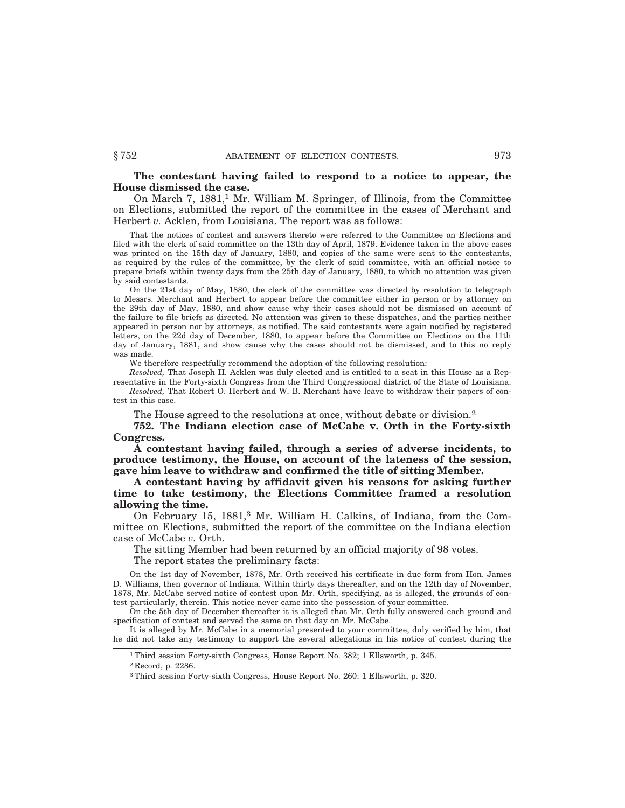## **The contestant having failed to respond to a notice to appear, the House dismissed the case.**

On March 7,  $1881<sup>1</sup>$  Mr. William M. Springer, of Illinois, from the Committee on Elections, submitted the report of the committee in the cases of Merchant and Herbert *v.* Acklen, from Louisiana. The report was as follows:

That the notices of contest and answers thereto were referred to the Committee on Elections and filed with the clerk of said committee on the 13th day of April, 1879. Evidence taken in the above cases was printed on the 15th day of January, 1880, and copies of the same were sent to the contestants, as required by the rules of the committee, by the clerk of said committee, with an official notice to prepare briefs within twenty days from the 25th day of January, 1880, to which no attention was given by said contestants.

On the 21st day of May, 1880, the clerk of the committee was directed by resolution to telegraph to Messrs. Merchant and Herbert to appear before the committee either in person or by attorney on the 29th day of May, 1880, and show cause why their cases should not be dismissed on account of the failure to file briefs as directed. No attention was given to these dispatches, and the parties neither appeared in person nor by attorneys, as notified. The said contestants were again notified by registered letters, on the 22d day of December, 1880, to appear before the Committee on Elections on the 11th day of January, 1881, and show cause why the cases should not be dismissed, and to this no reply was made.

We therefore respectfully recommend the adoption of the following resolution:

*Resolved,* That Joseph H. Acklen was duly elected and is entitled to a seat in this House as a Representative in the Forty-sixth Congress from the Third Congressional district of the State of Louisiana. *Resolved,* That Robert O. Herbert and W. B. Merchant have leave to withdraw their papers of contest in this case.

The House agreed to the resolutions at once, without debate or division.<sup>2</sup>

**752. The Indiana election case of McCabe v. Orth in the Forty-sixth Congress.**

**A contestant having failed, through a series of adverse incidents, to produce testimony, the House, on account of the lateness of the session, gave him leave to withdraw and confirmed the title of sitting Member.**

**A contestant having by affidavit given his reasons for asking further time to take testimony, the Elections Committee framed a resolution allowing the time.**

On February 15, 1881,<sup>3</sup> Mr. William H. Calkins, of Indiana, from the Committee on Elections, submitted the report of the committee on the Indiana election case of McCabe *v.* Orth.

The sitting Member had been returned by an official majority of 98 votes. The report states the preliminary facts:

On the 1st day of November, 1878, Mr. Orth received his certificate in due form from Hon. James D. Williams, then governor of Indiana. Within thirty days thereafter, and on the 12th day of November, 1878, Mr. McCabe served notice of contest upon Mr. Orth, specifying, as is alleged, the grounds of contest particularly, therein. This notice never came into the possession of your committee.

On the 5th day of December thereafter it is alleged that Mr. Orth fully answered each ground and specification of contest and served the same on that day on Mr. McCabe.

It is alleged by Mr. McCabe in a memorial presented to your committee, duly verified by him, that he did not take any testimony to support the several allegations in his notice of contest during the

<sup>1</sup>Third session Forty-sixth Congress, House Report No. 382; 1 Ellsworth, p. 345.

<sup>2</sup> Record, p. 2286.

<sup>3</sup>Third session Forty-sixth Congress, House Report No. 260: 1 Ellsworth, p. 320.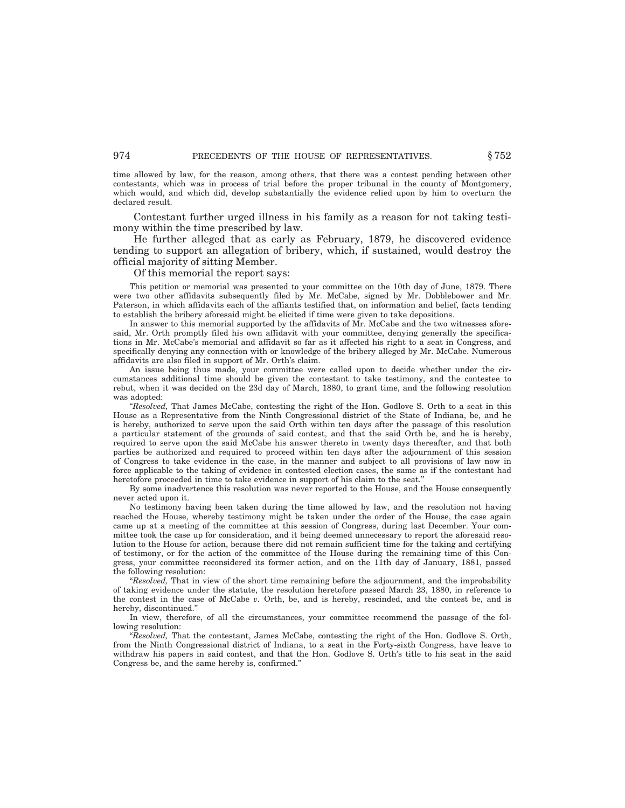time allowed by law, for the reason, among others, that there was a contest pending between other contestants, which was in process of trial before the proper tribunal in the county of Montgomery, which would, and which did, develop substantially the evidence relied upon by him to overturn the declared result.

Contestant further urged illness in his family as a reason for not taking testimony within the time prescribed by law.

He further alleged that as early as February, 1879, he discovered evidence tending to support an allegation of bribery, which, if sustained, would destroy the official majority of sitting Member.

Of this memorial the report says:

This petition or memorial was presented to your committee on the 10th day of June, 1879. There were two other affidavits subsequently filed by Mr. McCabe, signed by Mr. Dobblebower and Mr. Paterson, in which affidavits each of the affiants testified that, on information and belief, facts tending to establish the bribery aforesaid might be elicited if time were given to take depositions.

In answer to this memorial supported by the affidavits of Mr. McCabe and the two witnesses aforesaid, Mr. Orth promptly filed his own affidavit with your committee, denying generally the specifications in Mr. McCabe's memorial and affidavit so far as it affected his right to a seat in Congress, and specifically denying any connection with or knowledge of the bribery alleged by Mr. McCabe. Numerous affidavits are also filed in support of Mr. Orth's claim.

An issue being thus made, your committee were called upon to decide whether under the circumstances additional time should be given the contestant to take testimony, and the contestee to rebut, when it was decided on the 23d day of March, 1880, to grant time, and the following resolution was adopted:

"*Resolved*, That James McCabe, contesting the right of the Hon. Godlove S. Orth to a seat in this House as a Representative from the Ninth Congressional district of the State of Indiana, be, and he is hereby, authorized to serve upon the said Orth within ten days after the passage of this resolution a particular statement of the grounds of said contest, and that the said Orth be, and he is hereby, required to serve upon the said McCabe his answer thereto in twenty days thereafter, and that both parties be authorized and required to proceed within ten days after the adjournment of this session of Congress to take evidence in the case, in the manner and subject to all provisions of law now in force applicable to the taking of evidence in contested election cases, the same as if the contestant had heretofore proceeded in time to take evidence in support of his claim to the seat.''

By some inadvertence this resolution was never reported to the House, and the House consequently never acted upon it.

No testimony having been taken during the time allowed by law, and the resolution not having reached the House, whereby testimony might be taken under the order of the House, the case again came up at a meeting of the committee at this session of Congress, during last December. Your committee took the case up for consideration, and it being deemed unnecessary to report the aforesaid resolution to the House for action, because there did not remain sufficient time for the taking and certifying of testimony, or for the action of the committee of the House during the remaining time of this Congress, your committee reconsidered its former action, and on the 11th day of January, 1881, passed the following resolution:

*"Resolved*, That in view of the short time remaining before the adjournment, and the improbability of taking evidence under the statute, the resolution heretofore passed March 23, 1880, in reference to the contest in the case of McCabe *v.* Orth, be, and is hereby, rescinded, and the contest be, and is hereby, discontinued.''

In view, therefore, of all the circumstances, your committee recommend the passage of the following resolution:

''*Resolved,* That the contestant, James McCabe, contesting the right of the Hon. Godlove S. Orth, from the Ninth Congressional district of Indiana, to a seat in the Forty-sixth Congress, have leave to withdraw his papers in said contest, and that the Hon. Godlove S. Orth's title to his seat in the said Congress be, and the same hereby is, confirmed.''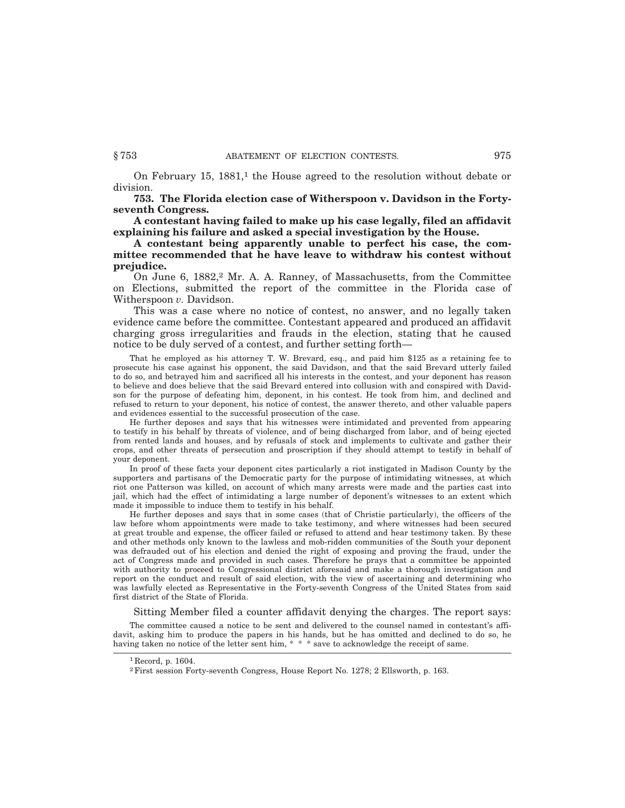On February 15, 1881,<sup>1</sup> the House agreed to the resolution without debate or division.

**753. The Florida election case of Witherspoon v. Davidson in the Fortyseventh Congress.**

**A contestant having failed to make up his case legally, filed an affidavit explaining his failure and asked a special investigation by the House.**

**A contestant being apparently unable to perfect his case, the committee recommended that he have leave to withdraw his contest without prejudice.**

On June 6, 1882,<sup>2</sup> Mr. A. A. Ranney, of Massachusetts, from the Committee on Elections, submitted the report of the committee in the Florida case of Witherspoon *v.* Davidson.

This was a case where no notice of contest, no answer, and no legally taken evidence came before the committee. Contestant appeared and produced an affidavit charging gross irregularities and frauds in the election, stating that he caused notice to be duly served of a contest, and further setting forth—

That he employed as his attorney T. W. Brevard, esq., and paid him \$125 as a retaining fee to prosecute his case against his opponent, the said Davidson, and that the said Brevard utterly failed to do so, and betrayed him and sacrificed all his interests in the contest, and your deponent has reason to believe and does believe that the said Brevard entered into collusion with and conspired with Davidson for the purpose of defeating him, deponent, in his contest. He took from him, and declined and refused to return to your deponent, his notice of contest, the answer thereto, and other valuable papers and evidences essential to the successful prosecution of the case.

He further deposes and says that his witnesses were intimidated and prevented from appearing to testify in his behalf by threats of violence, and of being discharged from labor, and of being ejected from rented lands and houses, and by refusals of stock and implements to cultivate and gather their crops, and other threats of persecution and proscription if they should attempt to testify in behalf of your deponent.

In proof of these facts your deponent cites particularly a riot instigated in Madison County by the supporters and partisans of the Democratic party for the purpose of intimidating witnesses, at which riot one Patterson was killed, on account of which many arrests were made and the parties cast into jail, which had the effect of intimidating a large number of deponent's witnesses to an extent which made it impossible to induce them to testify in his behalf.

He further deposes and says that in some cases (that of Christie particularly), the officers of the law before whom appointments were made to take testimony, and where witnesses had been secured at great trouble and expense, the officer failed or refused to attend and hear testimony taken. By these and other methods only known to the lawless and mob-ridden communities of the South your deponent was defrauded out of his election and denied the right of exposing and proving the fraud, under the act of Congress made and provided in such cases. Therefore he prays that a committee be appointed with authority to proceed to Congressional district aforesaid and make a thorough investigation and report on the conduct and result of said election, with the view of ascertaining and determining who was lawfully elected as Representative in the Forty-seventh Congress of the United States from said first district of the State of Florida.

## Sitting Member filed a counter affidavit denying the charges. The report says:

The committee caused a notice to be sent and delivered to the counsel named in contestant's affidavit, asking him to produce the papers in his hands, but he has omitted and declined to do so, he having taken no notice of the letter sent him,  $* * *$  save to acknowledge the receipt of same.

<sup>&</sup>lt;sup>1</sup> Record, p. 1604.

<sup>2</sup>First session Forty-seventh Congress, House Report No. 1278; 2 Ellsworth, p. 163.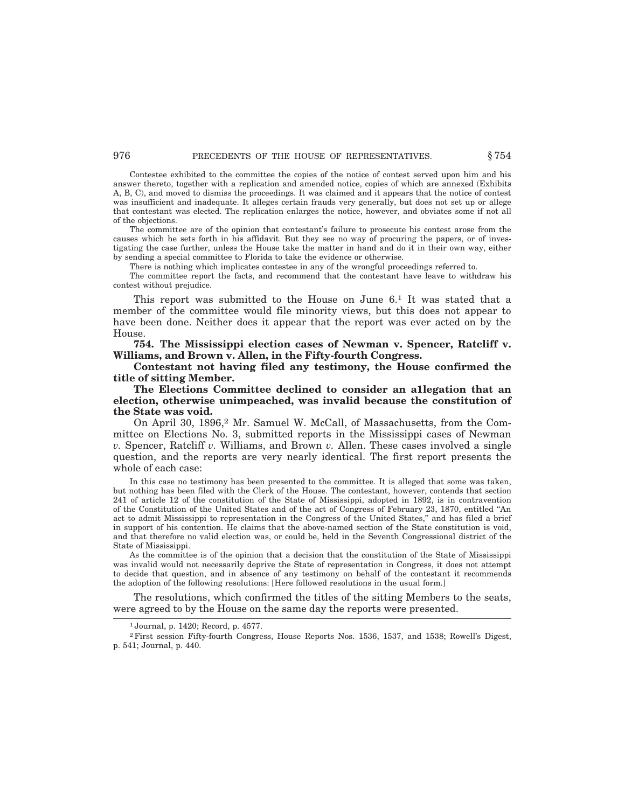## 976 **PRECEDENTS OF THE HOUSE OF REPRESENTATIVES.**  $§ 754$

Contestee exhibited to the committee the copies of the notice of contest served upon him and his answer thereto, together with a replication and amended notice, copies of which are annexed (Exhibits A, B, C), and moved to dismiss the proceedings. It was claimed and it appears that the notice of contest was insufficient and inadequate. It alleges certain frauds very generally, but does not set up or allege that contestant was elected. The replication enlarges the notice, however, and obviates some if not all of the objections.

The committee are of the opinion that contestant's failure to prosecute his contest arose from the causes which he sets forth in his affidavit. But they see no way of procuring the papers, or of investigating the case further, unless the House take the matter in hand and do it in their own way, either by sending a special committee to Florida to take the evidence or otherwise.

There is nothing which implicates contestee in any of the wrongful proceedings referred to.

The committee report the facts, and recommend that the contestant have leave to withdraw his contest without prejudice.

This report was submitted to the House on June 6.1 It was stated that a member of the committee would file minority views, but this does not appear to have been done. Neither does it appear that the report was ever acted on by the House.

**754. The Mississippi election cases of Newman v. Spencer, Ratcliff v. Williams, and Brown v. Allen, in the Fifty-fourth Congress.**

**Contestant not having filed any testimony, the House confirmed the title of sitting Member.**

**The Elections Committee declined to consider an a1legation that an election, otherwise unimpeached, was invalid because the constitution of the State was void.**

On April 30, 1896,2 Mr. Samuel W. McCall, of Massachusetts, from the Committee on Elections No. 3, submitted reports in the Mississippi cases of Newman *v.* Spencer, Ratcliff *v.* Williams, and Brown *v.* Allen. These cases involved a single question, and the reports are very nearly identical. The first report presents the whole of each case:

In this case no testimony has been presented to the committee. It is alleged that some was taken, but nothing has been filed with the Clerk of the House. The contestant, however, contends that section 241 of article 12 of the constitution of the State of Mississippi, adopted in 1892, is in contravention of the Constitution of the United States and of the act of Congress of February 23, 1870, entitled ''An act to admit Mississippi to representation in the Congress of the United States,'' and has filed a brief in support of his contention. He claims that the above-named section of the State constitution is void, and that therefore no valid election was, or could be, held in the Seventh Congressional district of the State of Mississippi.

As the committee is of the opinion that a decision that the constitution of the State of Mississippi was invalid would not necessarily deprive the State of representation in Congress, it does not attempt to decide that question, and in absence of any testimony on behalf of the contestant it recommends the adoption of the following resolutions: [Here followed resolutions in the usual form.]

The resolutions, which confirmed the titles of the sitting Members to the seats, were agreed to by the House on the same day the reports were presented.

<sup>1</sup> Journal, p. 1420; Record, p. 4577.

<sup>2</sup>First session Fifty-fourth Congress, House Reports Nos. 1536, 1537, and 1538; Rowell's Digest, p. 541; Journal, p. 440.